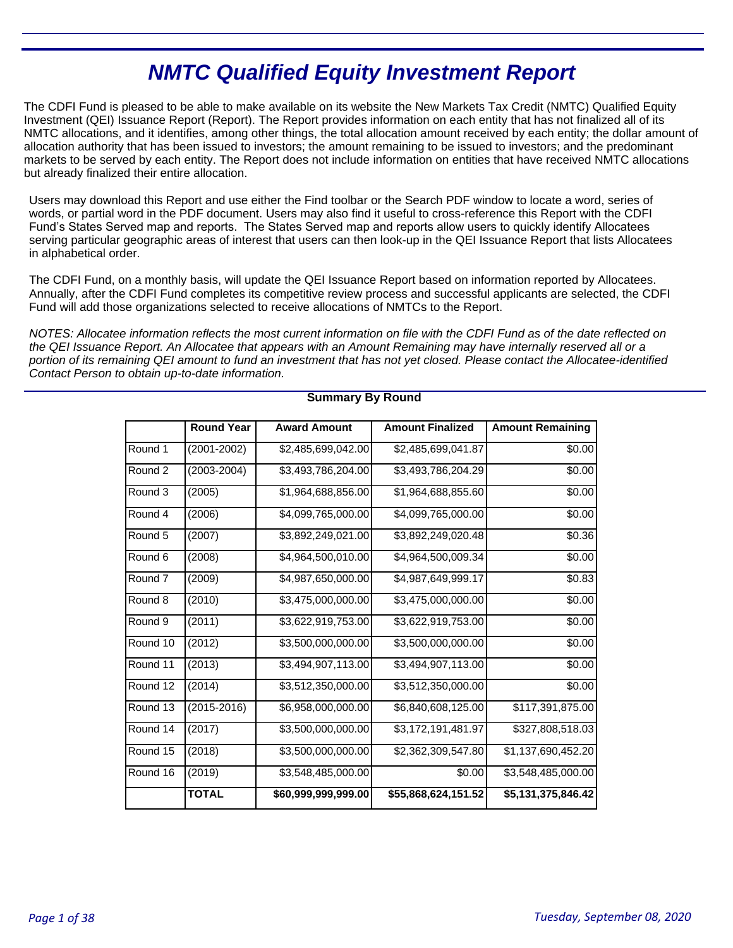# **NMTC Qualified Equity Investment Report**

The CDFI Fund is pleased to be able to make available on its website the New Markets Tax Credit (NMTC) Qualified Equity Investment (QEI) Issuance Report (Report). The Report provides information on each entity that has not finalized all of its NMTC allocations, and it identifies, among other things, the total allocation amount received by each entity; the dollar amount of allocation authority that has been issued to investors; the amount remaining to be issued to investors; and the predominant markets to be served by each entity. The Report does not include information on entities that have received NMTC allocations but already finalized their entire allocation.

Users may download this Report and use either the Find toolbar or the Search PDF window to locate a word, series of words, or partial word in the PDF document. Users may also find it useful to cross-reference this Report with the CDFI Fund's States Served map and reports. The States Served map and reports allow users to quickly identify Allocatees serving particular geographic areas of interest that users can then look-up in the QEI Issuance Report that lists Allocatees in alphabetical order.

The CDFI Fund, on a monthly basis, will update the QEI Issuance Report based on information reported by Allocatees. Annually, after the CDFI Fund completes its competitive review process and successful applicants are selected, the CDFI Fund will add those organizations selected to receive allocations of NMTCs to the Report.

NOTES: Allocatee information reflects the most current information on file with the CDFI Fund as of the date reflected on the QEI Issuance Report. An Allocatee that appears with an Amount Remaining may have internally reserved all or a portion of its remaining QEI amount to fund an investment that has not yet closed. Please contact the Allocatee-identified Contact Person to obtain up-to-date information.

|                     | <b>Round Year</b> | <b>Award Amount</b> | <b>Amount Finalized</b> | <b>Amount Remaining</b> |
|---------------------|-------------------|---------------------|-------------------------|-------------------------|
| Round 1             | (2001-2002)       | \$2,485,699,042.00  | \$2,485,699,041.87      | \$0.00                  |
| Round 2             | $(2003 - 2004)$   | \$3,493,786,204.00  | \$3,493,786,204.29      | \$0.00                  |
| Round 3             | (2005)            | \$1,964,688,856.00  | \$1,964,688,855.60      | \$0.00                  |
| Round 4             | (2006)            | \$4,099,765,000.00  | \$4,099,765,000.00      | \$0.00                  |
| Round 5             | (2007)            | \$3,892,249,021.00  | \$3,892,249,020.48      | \$0.36                  |
| Round 6             | (2008)            | \$4,964,500,010.00  | \$4,964,500,009.34      | \$0.00                  |
| Round <sub>7</sub>  | (2009)            | \$4,987,650,000.00  | \$4,987,649,999.17      | \$0.83                  |
| Round 8             | (2010)            | \$3,475,000,000.00  | \$3,475,000,000.00      | \$0.00                  |
| Round <sub>9</sub>  | (2011)            | \$3,622,919,753.00  | \$3,622,919,753.00      | \$0.00                  |
| Round 10            | (2012)            | \$3,500,000,000.00  | \$3,500,000,000.00      | \$0.00                  |
| Round <sub>11</sub> | (2013)            | \$3,494,907,113.00  | \$3,494,907,113.00      | \$0.00                  |
| Round 12            | (2014)            | \$3,512,350,000.00  | \$3,512,350,000.00      | \$0.00                  |
| Round 13            | $(2015 - 2016)$   | \$6,958,000,000.00  | \$6,840,608,125.00      | \$117,391,875.00        |
| Round 14            | (2017)            | \$3,500,000,000.00  | \$3,172,191,481.97      | \$327,808,518.03        |
| Round 15            | (2018)            | \$3,500,000,000.00  | \$2,362,309,547.80      | \$1,137,690,452.20      |
| Round 16            | (2019)            | \$3,548,485,000.00  | \$0.00                  | \$3,548,485,000.00      |
|                     | <b>TOTAL</b>      | \$60,999,999,999.00 | \$55,868,624,151.52     | \$5,131,375,846.42      |

### **Summary By Round**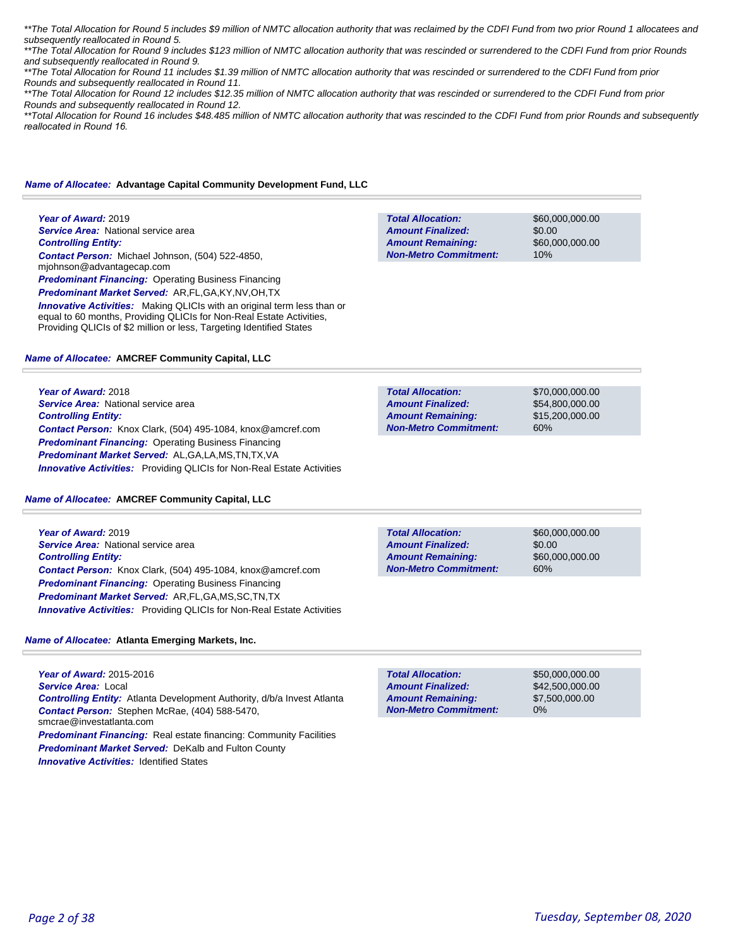\*\*The Total Allocation for Round 5 includes \$9 million of NMTC allocation authority that was reclaimed by the CDFI Fund from two prior Round 1 allocatees and subsequently reallocated in Round 5.

\*\*The Total Allocation for Round 9 includes \$123 million of NMTC allocation authority that was rescinded or surrendered to the CDFI Fund from prior Rounds and subsequently reallocated in Round 9.

\*\*The Total Allocation for Round 11 includes \$1.39 million of NMTC allocation authority that was rescinded or surrendered to the CDFI Fund from prior Rounds and subsequently reallocated in Round 11.

\*\*The Total Allocation for Round 12 includes \$12.35 million of NMTC allocation authority that was rescinded or surrendered to the CDFI Fund from prior Rounds and subsequently reallocated in Round 12.

\*\*Total Allocation for Round 16 includes \$48.485 million of NMTC allocation authority that was rescinded to the CDFI Fund from prior Rounds and subsequently *reallocated in Round 16.* 

#### *Name of Allocatee:* **Advantage Capital Community Development Fund, LLC**

**Year of Award:** 2019 **Service Area:** National service area *Controlling Entity: Contact Person:* Michael Johnson, (504) 522-4850, mjohnson@advantagecap.com **Predominant Financing: Operating Business Financing** *Predominant Market Served:* AR,FL,GA,KY,NV,OH,TX

**Innovative Activities:** Making QLICIs with an original term less than or equal to 60 months, Providing QLICIs for Non-Real Estate Activities,

Providing QLICIs of \$2 million or less, Targeting Identified States

#### *Name of Allocatee:* **AMCREF Community Capital, LLC**

**Year of Award:** 2018 **Service Area:** National service area *Controlling Entity: Contact Person:* Knox Clark, (504) 495-1084, knox@amcref.com **Predominant Financing: Operating Business Financing** *Predominant Market Served:* AL,GA,LA,MS,TN,TX,VA *Innovative Activities:* Providing QLICIs for Non-Real Estate Activities

#### *Name of Allocatee:* **AMCREF Community Capital, LLC**

**Year of Award:** 2019 **Service Area:** National service area *Controlling Entity: Contact Person:* Knox Clark, (504) 495-1084, knox@amcref.com *Predominant Financing:* Operating Business Financing *Predominant Market Served:* AR,FL,GA,MS,SC,TN,TX **Innovative Activities:** Providing QLICIs for Non-Real Estate Activities

#### *Name of Allocatee:* **Atlanta Emerging Markets, Inc.**

**Year of Award:** 2015-2016 *Service Area:* Local *Controlling Entity:* Atlanta Development Authority, d/b/a Invest Atlanta *Contact Person:* Stephen McRae, (404) 588-5470, smcrae@investatlanta.com *Predominant Financing:* Real estate financing: Community Facilities *Predominant Market Served:* DeKalb and Fulton County

| <b>Innovative Activities: Identified States</b> |  |
|-------------------------------------------------|--|
|-------------------------------------------------|--|

| <b>Total Allocation:</b>     | \$50,000,000,00 |
|------------------------------|-----------------|
| <b>Amount Finalized:</b>     | \$42,500,000,00 |
| <b>Amount Remaining:</b>     | \$7,500,000,00  |
| <b>Non-Metro Commitment:</b> | $0\%$           |
|                              |                 |

**Total Allocation: Non-Metro Commitment: Amount Remaining: Amount Finalized:**

**Total Allocation:**

**Non-Metro Commitment: Amount Remaining: Amount Finalized:**

> \$70,000,000.00 \$54,800,000.00 \$15,200,000.00 60%

\$60,000,000.00

\$60,000,000.00

\$0.00

10%

**Total Allocation: Non-Metro Commitment: Amount Remaining: Amount Finalized:**

\$60,000,000.00 \$0.00 \$60,000,000.00 60%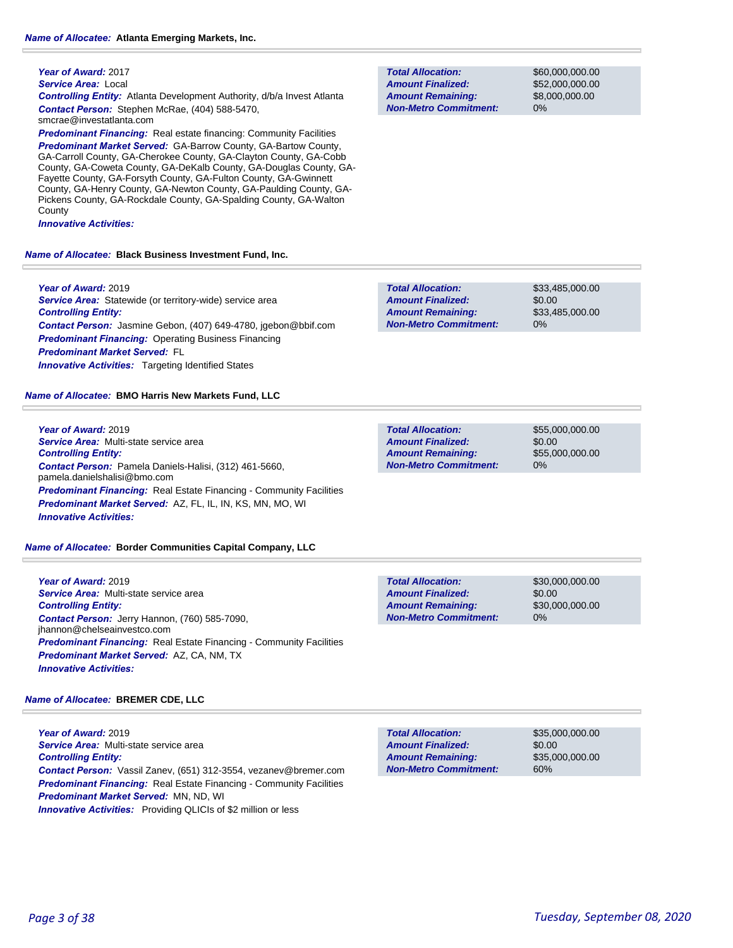*Service Area:* Local

*Controlling Entity:* Atlanta Development Authority, d/b/a Invest Atlanta *Contact Person:* Stephen McRae, (404) 588-5470, smcrae@investatlanta.com

**Predominant Financing:** Real estate financing: Community Facilities

*Predominant Market Served:* GA-Barrow County, GA-Bartow County, GA-Carroll County, GA-Cherokee County, GA-Clayton County, GA-Cobb County, GA-Coweta County, GA-DeKalb County, GA-Douglas County, GA-Fayette County, GA-Forsyth County, GA-Fulton County, GA-Gwinnett County, GA-Henry County, GA-Newton County, GA-Paulding County, GA-Pickens County, GA-Rockdale County, GA-Spalding County, GA-Walton **County** 

*Innovative Activities:* 

#### *Name of Allocatee:* **Black Business Investment Fund, Inc.**

**Year of Award:** 2019 *Service Area:* Statewide (or territory-wide) service area *Controlling Entity: Contact Person:* Jasmine Gebon, (407) 649-4780, jgebon@bbif.com **Predominant Financing: Operating Business Financing** *Predominant Market Served:* FL **Innovative Activities:** Targeting Identified States

*Name of Allocatee:* **BMO Harris New Markets Fund, LLC**

**Year of Award:** 2019 *Service Area:* Multi-state service area *Controlling Entity: Contact Person:* Pamela Daniels-Halisi, (312) 461-5660, pamela.danielshalisi@bmo.com *Predominant Financing:* Real Estate Financing - Community Facilities *Predominant Market Served:* AZ, FL, IL, IN, KS, MN, MO, WI *Innovative Activities:* 

#### *Name of Allocatee:* **Border Communities Capital Company, LLC**

**Year of Award:** 2019 *Service Area:* Multi-state service area *Controlling Entity: Contact Person:* Jerry Hannon, (760) 585-7090, jhannon@chelseainvestco.com *Predominant Financing:* Real Estate Financing - Community Facilities *Predominant Market Served:* AZ, CA, NM, TX *Innovative Activities:* 

#### *Name of Allocatee:* **BREMER CDE, LLC**

**Year of Award:** 2019 *Service Area:* Multi-state service area *Controlling Entity: Contact Person:* Vassil Zanev, (651) 312-3554, vezanev@bremer.com **Predominant Financing:** Real Estate Financing - Community Facilities *Predominant Market Served:* MN, ND, WI *Innovative Activities:* Providing QLICIs of \$2 million or less

**Total Allocation: Non-Metro Commitment: Amount Remaining: Amount Finalized:**

\$60,000,000.00 \$52,000,000.00 \$8,000,000.00 0%

**Total Allocation: Non-Metro Commitment: Amount Remaining: Amount Finalized:**

\$33,485,000.00 \$0.00 \$33,485,000.00 0%

**Total Allocation: Non-Metro Commitment: Amount Remaining: Amount Finalized:**

\$55,000,000.00 \$0.00 \$55,000,000.00 0%

\$30,000,000.00 \$0.00 \$30,000,000.00 0% **Total Allocation: Non-Metro Commitment: Amount Remaining: Amount Finalized:**

**Total Allocation: Non-Metro Commitment: Amount Remaining: Amount Finalized:**

\$35,000,000.00 \$0.00 \$35,000,000.00 60%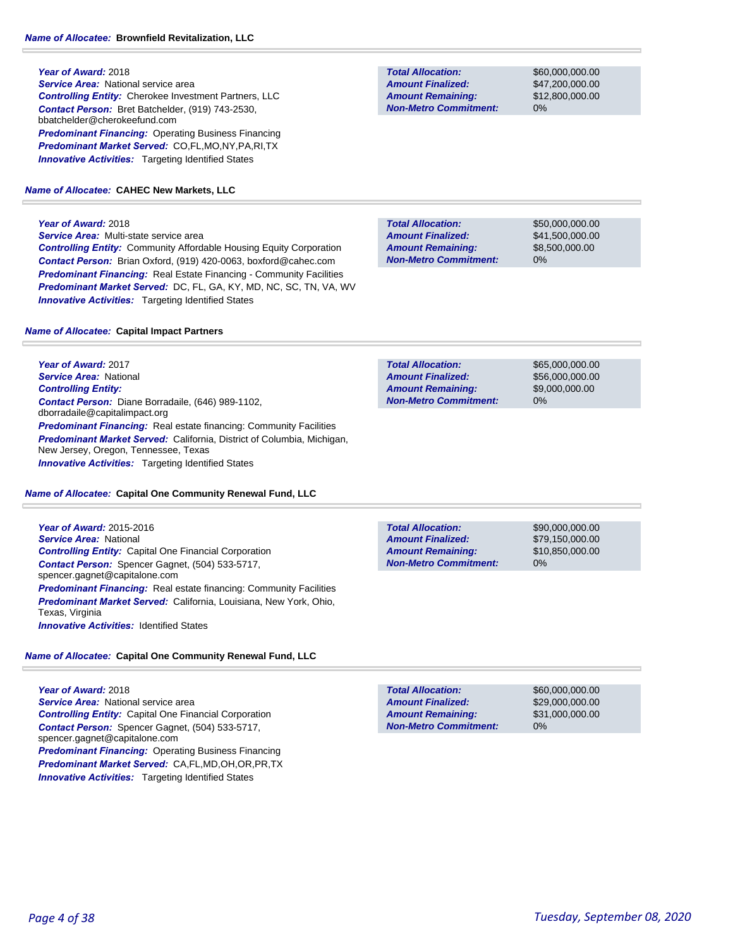**Year of Award:** 2018 *Service Area:* National service area *Controlling Entity:* Cherokee Investment Partners, LLC *Contact Person:* Bret Batchelder, (919) 743-2530, bbatchelder@cherokeefund.com **Predominant Financing: Operating Business Financing** *Predominant Market Served:* CO,FL,MO,NY,PA,RI,TX **Innovative Activities:** Targeting Identified States

#### *Name of Allocatee:* **CAHEC New Markets, LLC**

#### **Year of Award:** 2018

*Service Area:* Multi-state service area *Controlling Entity:* Community Affordable Housing Equity Corporation *Contact Person:* Brian Oxford, (919) 420-0063, boxford@cahec.com *Predominant Financing:* Real Estate Financing - Community Facilities *Predominant Market Served:* DC, FL, GA, KY, MD, NC, SC, TN, VA, WV **Innovative Activities:** Targeting Identified States

#### *Name of Allocatee:* **Capital Impact Partners**

**Year of Award:** 2017 *Service Area:* National *Controlling Entity: Contact Person:* Diane Borradaile, (646) 989-1102, dborradaile@capitalimpact.org **Predominant Financing:** Real estate financing: Community Facilities *Predominant Market Served:* California, District of Columbia, Michigan, New Jersey, Oregon, Tennessee, Texas **Innovative Activities:** Targeting Identified States

#### *Name of Allocatee:* **Capital One Community Renewal Fund, LLC**

**Year of Award:** 2015-2016 *Service Area:* National *Controlling Entity:* Capital One Financial Corporation *Contact Person:* Spencer Gagnet, (504) 533-5717, spencer.gagnet@capitalone.com **Predominant Financing:** Real estate financing: Community Facilities *Predominant Market Served:* California, Louisiana, New York, Ohio, Texas, Virginia **Innovative Activities: Identified States** 

### *Name of Allocatee:* **Capital One Community Renewal Fund, LLC**

**Year of Award:** 2018 **Service Area:** National service area *Controlling Entity:* Capital One Financial Corporation *Contact Person:* Spencer Gagnet, (504) 533-5717, spencer.gagnet@capitalone.com *Predominant Financing:* Operating Business Financing *Predominant Market Served:* CA,FL,MD,OH,OR,PR,TX **Innovative Activities:** Targeting Identified States

**Total Allocation: Non-Metro Commitment: Amount Remaining: Amount Finalized:**

\$60,000,000.00 \$47,200,000.00 \$12,800,000.00 0%

**Total Allocation: Non-Metro Commitment: Amount Remaining: Amount Finalized:**

\$50,000,000.00 \$41,500,000.00 \$8,500,000.00 0%

\$65,000,000.00 \$56,000,000.00 \$9,000,000.00 0% **Total Allocation: Non-Metro Commitment: Amount Remaining: Amount Finalized:**

**Total Allocation: Non-Metro Commitment: Amount Remaining: Amount Finalized:**

\$90,000,000.00 \$79,150,000.00 \$10,850,000.00 0%

**Total Allocation: Non-Metro Commitment: Amount Remaining: Amount Finalized:**

\$60,000,000.00 \$29,000,000.00 \$31,000,000.00 0%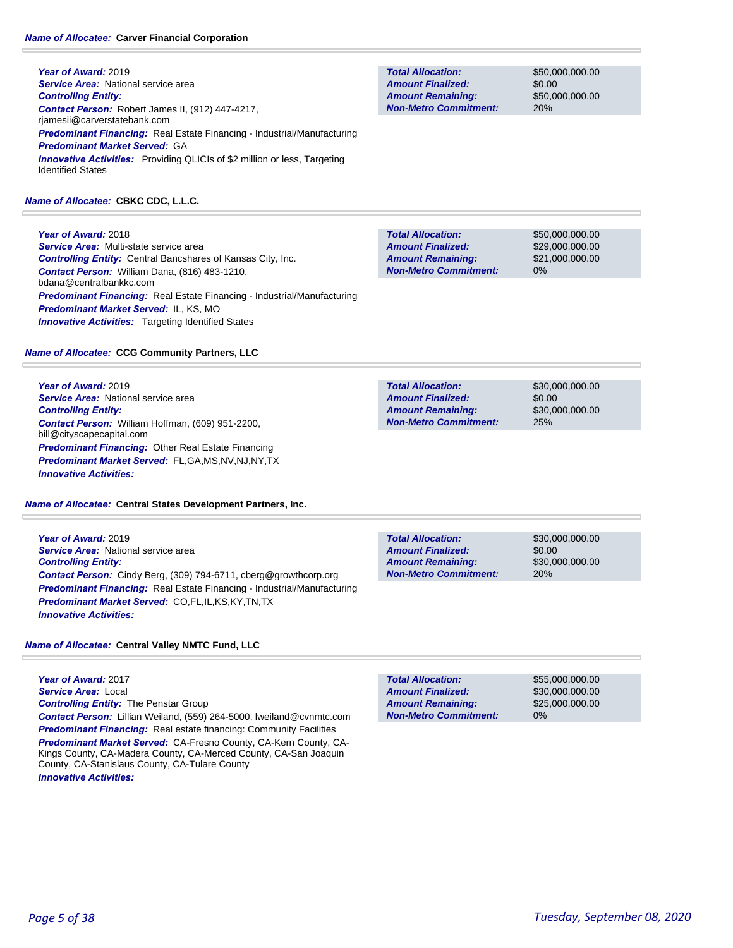**Year of Award:** 2019 **Service Area: National service area** *Controlling Entity: Contact Person:* Robert James II, (912) 447-4217, rjamesii@carverstatebank.com *Predominant Financing:* Real Estate Financing - Industrial/Manufacturing *Predominant Market Served:* GA **Innovative Activities:** Providing QLICIs of \$2 million or less, Targeting Identified States

### *Name of Allocatee:* **CBKC CDC, L.L.C.**

**Year of Award:** 2018 *Service Area:* Multi-state service area *Controlling Entity:* Central Bancshares of Kansas City, Inc. *Contact Person:* William Dana, (816) 483-1210, bdana@centralbankkc.com *Predominant Financing:* Real Estate Financing - Industrial/Manufacturing *Predominant Market Served:* IL, KS, MO **Innovative Activities:** Targeting Identified States

### *Name of Allocatee:* **CCG Community Partners, LLC**

**Year of Award:** 2019 **Service Area:** National service area *Controlling Entity: Contact Person:* William Hoffman, (609) 951-2200, bill@cityscapecapital.com *Predominant Financing:* Other Real Estate Financing *Predominant Market Served:* FL,GA,MS,NV,NJ,NY,TX *Innovative Activities:* 

*Name of Allocatee:* **Central States Development Partners, Inc.**

**Year of Award:** 2019 *Service Area:* National service area *Controlling Entity: Contact Person:* Cindy Berg, (309) 794-6711, cberg@growthcorp.org *Predominant Financing:* Real Estate Financing - Industrial/Manufacturing *Predominant Market Served:* CO,FL,IL,KS,KY,TN,TX *Innovative Activities:* 

*Name of Allocatee:* **Central Valley NMTC Fund, LLC**

**Year of Award:** 2017 *Service Area:* Local *Controlling Entity:* The Penstar Group *Contact Person:* Lillian Weiland, (559) 264-5000, lweiland@cvnmtc.com **Predominant Financing:** Real estate financing: Community Facilities *Predominant Market Served:* CA-Fresno County, CA-Kern County, CA-Kings County, CA-Madera County, CA-Merced County, CA-San Joaquin County, CA-Stanislaus County, CA-Tulare County *Innovative Activities:* 

**Total Allocation: Non-Metro Commitment: Amount Remaining: Amount Finalized:**

\$50,000,000.00 \$0.00 \$50,000,000.00 20%

**Total Allocation: Non-Metro Commitment: Amount Remaining: Amount Finalized:**

\$50,000,000.00 \$29,000,000.00 \$21,000,000.00 0%

\$30,000,000.00 \$0.00 \$30,000,000.00 25% **Total Allocation: Non-Metro Commitment: Amount Remaining: Amount Finalized:**

\$30,000,000.00 \$0.00 \$30,000,000.00 20% **Total Allocation: Non-Metro Commitment: Amount Remaining: Amount Finalized:**

\$55,000,000.00 \$30,000,000.00 \$25,000,000.00 0% **Total Allocation: Non-Metro Commitment: Amount Remaining: Amount Finalized:**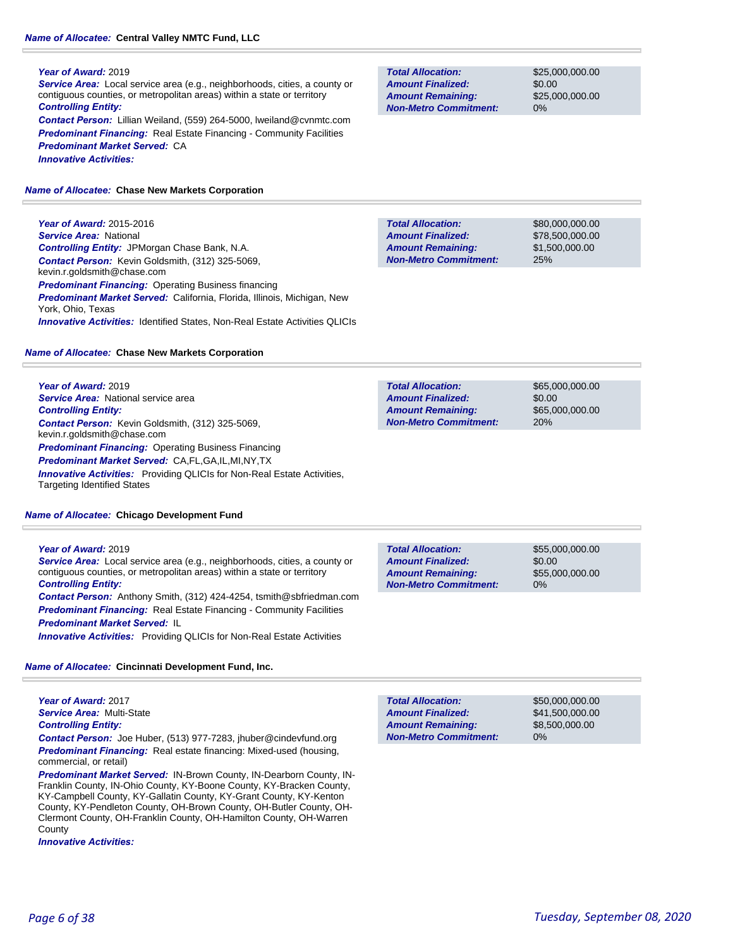*Service Area:* Local service area (e.g., neighborhoods, cities, a county or contiguous counties, or metropolitan areas) within a state or territory *Controlling Entity: Contact Person:* Lillian Weiland, (559) 264-5000, lweiland@cvnmtc.com

**Predominant Financing:** Real Estate Financing - Community Facilities *Predominant Market Served:* CA *Innovative Activities:* 

### *Name of Allocatee:* **Chase New Markets Corporation**

**Year of Award:** 2015-2016 *Service Area:* National *Controlling Entity:* JPMorgan Chase Bank, N.A. *Contact Person:* Kevin Goldsmith, (312) 325-5069, kevin.r.goldsmith@chase.com **Predominant Financing: Operating Business financing** *Predominant Market Served:* California, Florida, Illinois, Michigan, New York, Ohio, Texas *Innovative Activities:* Identified States, Non-Real Estate Activities QLICIs

### *Name of Allocatee:* **Chase New Markets Corporation**

**Year of Award:** 2019 **Service Area:** National service area *Controlling Entity: Contact Person:* Kevin Goldsmith, (312) 325-5069, kevin.r.goldsmith@chase.com *Predominant Financing:* Operating Business Financing *Predominant Market Served:* CA,FL,GA,IL,MI,NY,TX *Innovative Activities:* Providing QLICIs for Non-Real Estate Activities, Targeting Identified States

### *Name of Allocatee:* **Chicago Development Fund**

### **Year of Award:** 2019

*Service Area:* Local service area (e.g., neighborhoods, cities, a county or contiguous counties, or metropolitan areas) within a state or territory *Controlling Entity:* 

*Contact Person:* Anthony Smith, (312) 424-4254, tsmith@sbfriedman.com **Predominant Financing:** Real Estate Financing - Community Facilities *Predominant Market Served:* IL

*Innovative Activities:* Providing QLICIs for Non-Real Estate Activities

### *Name of Allocatee:* **Cincinnati Development Fund, Inc.**

**Year of Award:** 2017 *Service Area:* Multi-State *Controlling Entity:* 

*Contact Person:* Joe Huber, (513) 977-7283, jhuber@cindevfund.org *Predominant Financing:* Real estate financing: Mixed-used (housing, commercial, or retail)

*Predominant Market Served:* IN-Brown County, IN-Dearborn County, IN-Franklin County, IN-Ohio County, KY-Boone County, KY-Bracken County, KY-Campbell County, KY-Gallatin County, KY-Grant County, KY-Kenton County, KY-Pendleton County, OH-Brown County, OH-Butler County, OH-Clermont County, OH-Franklin County, OH-Hamilton County, OH-Warren **County** 

*Innovative Activities:* 

**Total Allocation: Non-Metro Commitment: Amount Remaining: Amount Finalized:**

\$25,000,000.00 \$0.00 \$25,000,000.00 0%

\$80,000,000.00 \$78,500,000.00 \$1,500,000.00 25% **Total Allocation: Non-Metro Commitment: Amount Remaining: Amount Finalized:**

| <b>Total Allocation:</b>     | \$65,000,000,00 |
|------------------------------|-----------------|
| <b>Amount Finalized:</b>     | \$0.00          |
| <b>Amount Remaining:</b>     | \$65,000,000,00 |
| <b>Non-Metro Commitment:</b> | 20%             |
|                              |                 |

**Total Allocation: Non-Metro Commitment: Amount Remaining: Amount Finalized:**

\$55,000,000.00 \$0.00 \$55,000,000.00 0%

\$50,000,000.00 \$41,500,000.00 \$8,500,000.00 0% **Total Allocation: Non-Metro Commitment: Amount Remaining: Amount Finalized:**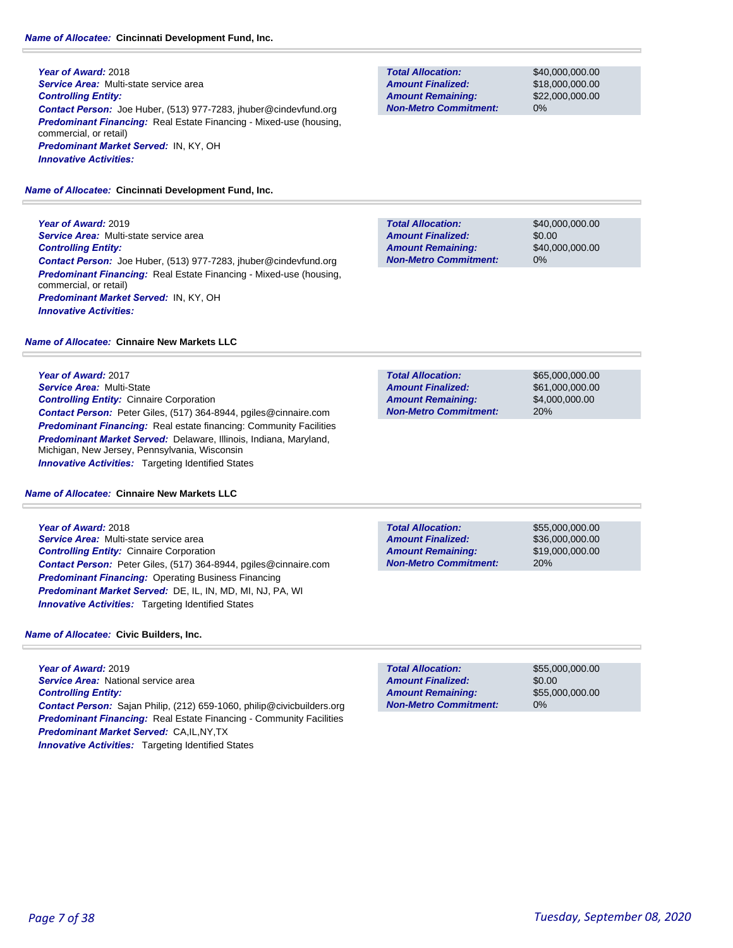#### *Name of Allocatee:* **Cincinnati Development Fund, Inc.**

**Year of Award:** 2018 *Service Area:* Multi-state service area *Controlling Entity: Contact Person:* Joe Huber, (513) 977-7283, jhuber@cindevfund.org *Predominant Financing:* Real Estate Financing - Mixed-use (housing, commercial, or retail) *Predominant Market Served:* IN, KY, OH *Innovative Activities:* 

*Name of Allocatee:* **Cincinnati Development Fund, Inc.**

**Year of Award:** 2019 *Service Area:* Multi-state service area *Controlling Entity: Contact Person:* Joe Huber, (513) 977-7283, jhuber@cindevfund.org *Predominant Financing:* Real Estate Financing - Mixed-use (housing, commercial, or retail) *Predominant Market Served:* IN, KY, OH *Innovative Activities:* 

*Name of Allocatee:* **Cinnaire New Markets LLC**

**Year of Award:** 2017 *Service Area:* Multi-State *Controlling Entity:* Cinnaire Corporation *Contact Person:* Peter Giles, (517) 364-8944, pgiles@cinnaire.com **Predominant Financing:** Real estate financing: Community Facilities *Predominant Market Served:* Delaware, Illinois, Indiana, Maryland, Michigan, New Jersey, Pennsylvania, Wisconsin **Innovative Activities:** Targeting Identified States

*Name of Allocatee:* **Cinnaire New Markets LLC**

**Year of Award:** 2018 *Service Area:* Multi-state service area *Controlling Entity:* Cinnaire Corporation *Contact Person:* Peter Giles, (517) 364-8944, pgiles@cinnaire.com *Predominant Financing:* Operating Business Financing *Predominant Market Served:* DE, IL, IN, MD, MI, NJ, PA, WI *Innovative Activities:* Targeting Identified States

*Name of Allocatee:* **Civic Builders, Inc.**

**Year of Award:** 2019 *Service Area:* National service area *Controlling Entity: Contact Person:* Sajan Philip, (212) 659-1060, philip@civicbuilders.org **Predominant Financing:** Real Estate Financing - Community Facilities *Predominant Market Served:* CA,IL,NY,TX **Innovative Activities:** Targeting Identified States

**Total Allocation: Non-Metro Commitment: Amount Remaining: Amount Finalized:**

\$40,000,000.00 \$18,000,000.00 \$22,000,000.00 0%

\$40,000,000.00 \$0.00 \$40,000,000.00 0% **Total Allocation: Non-Metro Commitment: Amount Remaining: Amount Finalized:**

**Total Allocation: Non-Metro Commitment: Amount Remaining: Amount Finalized:**

\$65,000,000.00 \$61,000,000.00 \$4,000,000.00 20%

**Total Allocation: Non-Metro Commitment: Amount Remaining: Amount Finalized:**

\$55,000,000.00 \$36,000,000.00 \$19,000,000.00 20%

\$55,000,000.00 \$0.00 \$55,000,000.00 0% **Total Allocation: Non-Metro Commitment: Amount Remaining: Amount Finalized:**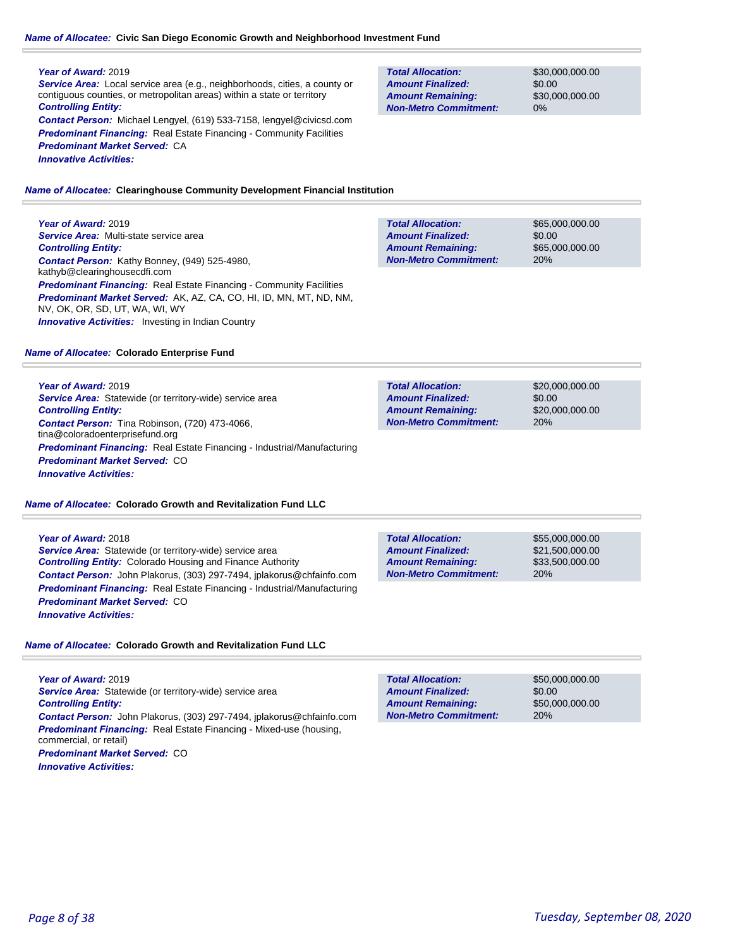### *Name of Allocatee:* **Civic San Diego Economic Growth and Neighborhood Investment Fund**

### **Year of Award:** 2019

*Service Area:* Local service area (e.g., neighborhoods, cities, a county or contiguous counties, or metropolitan areas) within a state or territory *Controlling Entity: Contact Person:* Michael Lengyel, (619) 533-7158, lengyel@civicsd.com **Predominant Financing:** Real Estate Financing - Community Facilities *Predominant Market Served:* CA

*Innovative Activities:* 

**Total Allocation: Non-Metro Commitment: Amount Remaining: Amount Finalized:**

\$30,000,000.00 \$0.00 \$30,000,000.00 0%

#### *Name of Allocatee:* **Clearinghouse Community Development Financial Institution**

## **Year of Award:** 2019

*Service Area:* Multi-state service area *Controlling Entity: Contact Person:* Kathy Bonney, (949) 525-4980, kathyb@clearinghousecdfi.com **Predominant Financing:** Real Estate Financing - Community Facilities *Predominant Market Served:* AK, AZ, CA, CO, HI, ID, MN, MT, ND, NM, NV, OK, OR, SD, UT, WA, WI, WY **Innovative Activities:** Investing in Indian Country

#### *Name of Allocatee:* **Colorado Enterprise Fund**

**Year of Award:** 2019 *Service Area:* Statewide (or territory-wide) service area *Controlling Entity: Contact Person:* Tina Robinson, (720) 473-4066, tina@coloradoenterprisefund.org *Predominant Financing:* Real Estate Financing - Industrial/Manufacturing *Predominant Market Served:* CO *Innovative Activities:* 

#### *Name of Allocatee:* **Colorado Growth and Revitalization Fund LLC**

**Year of Award:** 2018 *Service Area:* Statewide (or territory-wide) service area *Controlling Entity:* Colorado Housing and Finance Authority *Contact Person:* John Plakorus, (303) 297-7494, jplakorus@chfainfo.com *Predominant Financing:* Real Estate Financing - Industrial/Manufacturing *Predominant Market Served:* CO *Innovative Activities:* 

*Name of Allocatee:* **Colorado Growth and Revitalization Fund LLC**

**Year of Award:** 2019 *Service Area:* Statewide (or territory-wide) service area *Controlling Entity: Contact Person:* John Plakorus, (303) 297-7494, jplakorus@chfainfo.com *Predominant Financing:* Real Estate Financing - Mixed-use (housing, commercial, or retail) *Predominant Market Served:* CO *Innovative Activities:* 

| <b>Total Allocation:</b>     | \$65,000,000,00 |
|------------------------------|-----------------|
| <b>Amount Finalized:</b>     | \$0.00          |
| <b>Amount Remaining:</b>     | \$65,000,000,00 |
| <b>Non-Metro Commitment:</b> | 20%             |

| <b>Total Allocation:</b>     | \$20,000,000,00 |
|------------------------------|-----------------|
| <b>Amount Finalized:</b>     | \$0.00          |
| <b>Amount Remaining:</b>     | \$20,000,000,00 |
| <b>Non-Metro Commitment:</b> | 20%             |

| <b>Total Allocation:</b>     | \$55,000,000,00 |
|------------------------------|-----------------|
| <b>Amount Finalized:</b>     | \$21,500,000,00 |
| <b>Amount Remaining:</b>     | \$33,500,000.00 |
| <b>Non-Metro Commitment:</b> | 20%             |

| <b>Total Allocation:</b>     | \$50,000,000,00 |
|------------------------------|-----------------|
| <b>Amount Finalized:</b>     | \$0.00          |
| <b>Amount Remaining:</b>     | \$50,000,000,00 |
| <b>Non-Metro Commitment:</b> | 20%             |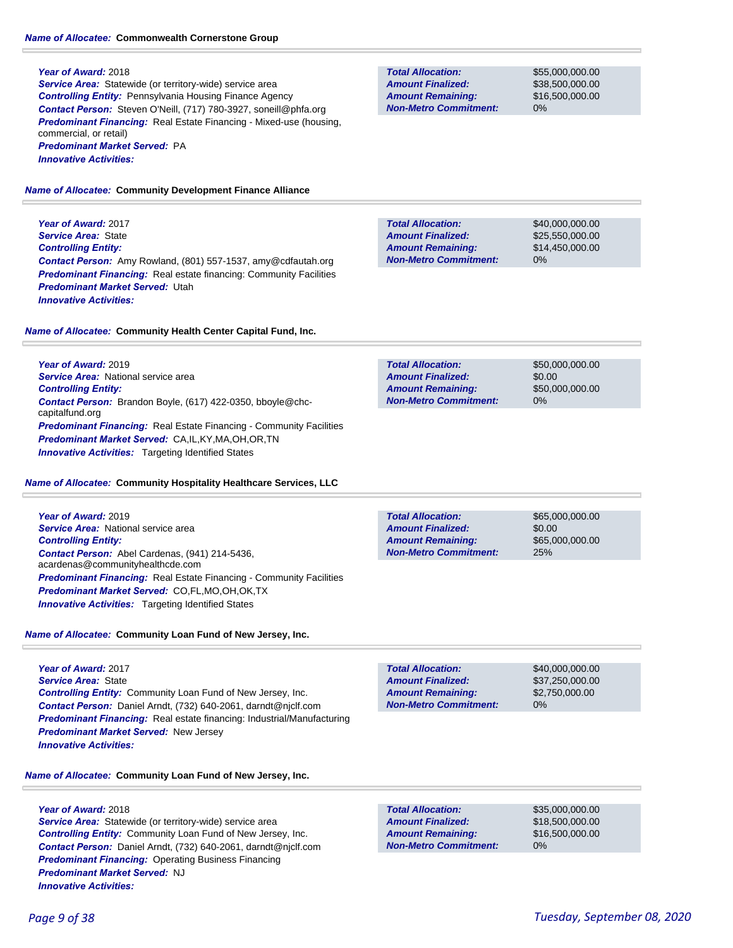**Service Area:** Statewide (or territory-wide) service area *Controlling Entity:* Pennsylvania Housing Finance Agency *Contact Person:* Steven O'Neill, (717) 780-3927, soneill@phfa.org **Predominant Financing:** Real Estate Financing - Mixed-use (housing, commercial, or retail) *Predominant Market Served:* PA *Innovative Activities:* 

#### *Name of Allocatee:* **Community Development Finance Alliance**

**Year of Award:** 2017 *Service Area:* State *Controlling Entity: Contact Person:* Amy Rowland, (801) 557-1537, amy@cdfautah.org **Predominant Financing:** Real estate financing: Community Facilities *Predominant Market Served:* Utah *Innovative Activities:* 

#### *Name of Allocatee:* **Community Health Center Capital Fund, Inc.**

**Year of Award:** 2019 *Service Area:* National service area *Controlling Entity: Contact Person:* Brandon Boyle, (617) 422-0350, bboyle@chccapitalfund.org **Predominant Financing:** Real Estate Financing - Community Facilities *Predominant Market Served:* CA,IL,KY,MA,OH,OR,TN **Innovative Activities:** Targeting Identified States

#### *Name of Allocatee:* **Community Hospitality Healthcare Services, LLC**

| <b>Year of Award: 2019</b>                                                         |
|------------------------------------------------------------------------------------|
| <b>Service Area:</b> National service area                                         |
| <b>Controlling Entity:</b>                                                         |
| Contact Person: Abel Cardenas, (941) 214-5436.<br>acardenas@communityhealthcde.com |
| <b>Predominant Financing:</b> Real Estate Financing - Community Facilities         |
| <b>Predominant Market Served: CO,FL,MO,OH,OK,TX</b>                                |
| <b>Innovative Activities:</b> Targeting Identified States                          |

### *Name of Allocatee:* **Community Loan Fund of New Jersey, Inc.**

**Year of Award:** 2017 *Service Area:* State *Controlling Entity:* Community Loan Fund of New Jersey, Inc. *Contact Person:* Daniel Arndt, (732) 640-2061, darndt@njclf.com *Predominant Financing:* Real estate financing: Industrial/Manufacturing *Predominant Market Served:* New Jersey *Innovative Activities:* 

### *Name of Allocatee:* **Community Loan Fund of New Jersey, Inc.**

### **Year of Award:** 2018

**Service Area:** Statewide (or territory-wide) service area *Controlling Entity:* Community Loan Fund of New Jersey, Inc. *Contact Person:* Daniel Arndt, (732) 640-2061, darndt@njclf.com **Predominant Financing: Operating Business Financing** *Predominant Market Served:* NJ *Innovative Activities:* 

**Total Allocation: Non-Metro Commitment: Amount Remaining: Amount Finalized:**

\$55,000,000.00 \$38,500,000.00 \$16,500,000.00 0%

\$40,000,000.00 \$25,550,000.00 \$14,450,000.00 0% **Total Allocation: Non-Metro Commitment: Amount Remaining: Amount Finalized:**

| <b>Total Allocation:</b>     | \$50,000,000,00 |
|------------------------------|-----------------|
| <b>Amount Finalized:</b>     | \$0.00          |
| <b>Amount Remaining:</b>     | \$50,000,000,00 |
| <b>Non-Metro Commitment:</b> | $0\%$           |

\$0.00 25% **Total Allocation: Non-Metro Commitment: Amount Remaining: Amount Finalized:**

\$65,000,000.00 \$65,000,000.00

0% **Total Allocation: Non-Metro Commitment: Amount Remaining: Amount Finalized:**

\$40,000,000.00 \$37,250,000.00 \$2,750,000.00

**Total Allocation: Non-Metro Commitment: Amount Remaining: Amount Finalized:**

\$35,000,000.00 \$18,500,000.00 \$16,500,000.00 0%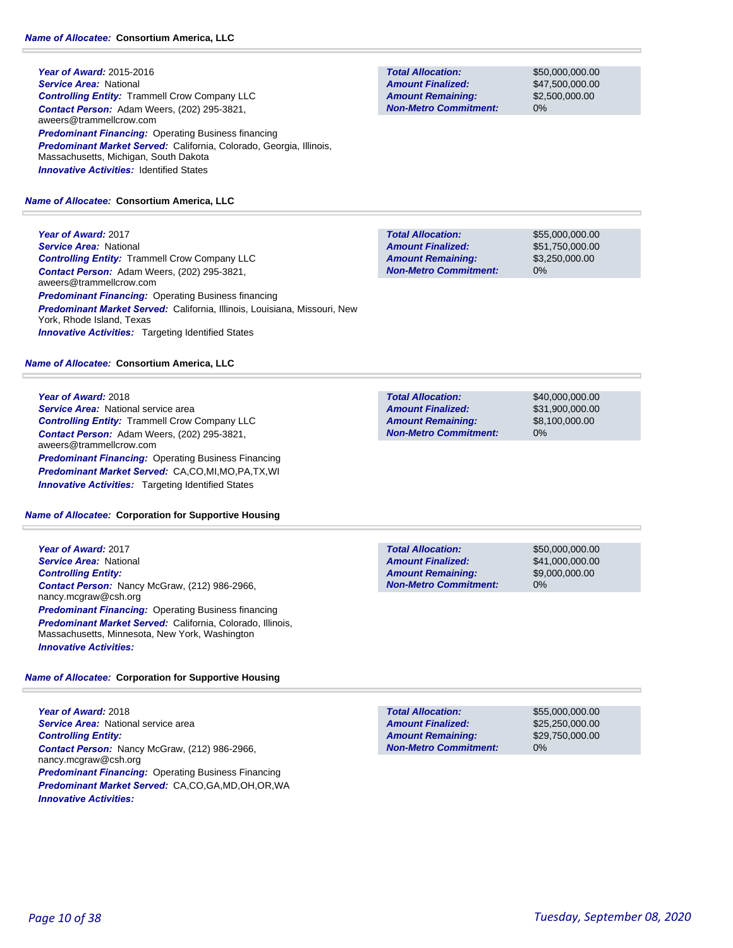**Year of Award:** 2015-2016 *Service Area:* National *Controlling Entity:* Trammell Crow Company LLC *Contact Person:* Adam Weers, (202) 295-3821, aweers@trammellcrow.com **Predominant Financing: Operating Business financing** *Predominant Market Served:* California, Colorado, Georgia, Illinois, Massachusetts, Michigan, South Dakota **Innovative Activities: Identified States** 

### *Name of Allocatee:* **Consortium America, LLC**

**Year of Award:** 2017 *Service Area:* National *Controlling Entity:* Trammell Crow Company LLC *Contact Person:* Adam Weers, (202) 295-3821, aweers@trammellcrow.com **Predominant Financing: Operating Business financing** *Predominant Market Served:* California, Illinois, Louisiana, Missouri, New York, Rhode Island, Texas **Innovative Activities:** Targeting Identified States

### *Name of Allocatee:* **Consortium America, LLC**

#### **Year of Award:** 2018

*Service Area:* National service area *Controlling Entity:* Trammell Crow Company LLC *Contact Person:* Adam Weers, (202) 295-3821, aweers@trammellcrow.com *Predominant Financing: Operating Business Financing Predominant Market Served:* CA,CO,MI,MO,PA,TX,WI *Innovative Activities:* Targeting Identified States

### *Name of Allocatee:* **Corporation for Supportive Housing**

**Year of Award:** 2017 *Service Area:* National *Controlling Entity: Contact Person:* Nancy McGraw, (212) 986-2966, nancy.mcgraw@csh.org *Predominant Financing: Operating Business financing Predominant Market Served:* California, Colorado, Illinois, Massachusetts, Minnesota, New York, Washington *Innovative Activities:* 

### *Name of Allocatee:* **Corporation for Supportive Housing**

**Year of Award:** 2018 **Service Area:** National service area *Controlling Entity: Contact Person:* Nancy McGraw, (212) 986-2966, nancy.mcgraw@csh.org **Predominant Financing: Operating Business Financing** *Predominant Market Served:* CA,CO,GA,MD,OH,OR,WA *Innovative Activities:* 

**Total Allocation: Non-Metro Commitment: Amount Remaining: Amount Finalized:**

\$50,000,000.00 \$47,500,000.00 \$2,500,000.00 0%

**Total Allocation: Non-Metro Commitment: Amount Remaining: Amount Finalized:**

\$55,000,000.00 \$51,750,000.00 \$3,250,000.00 0%

**Total Allocation: Non-Metro Commitment: Amount Remaining: Amount Finalized:**

\$40,000,000.00 \$31,900,000.00 \$8,100,000.00 0%

**Total Allocation: Non-Metro Commitment: Amount Remaining: Amount Finalized:**

\$50,000,000.00 \$41,000,000.00 \$9,000,000.00 0%

**Total Allocation: Non-Metro Commitment: Amount Remaining: Amount Finalized:**

\$55,000,000.00 \$25,250,000.00 \$29,750,000.00 0%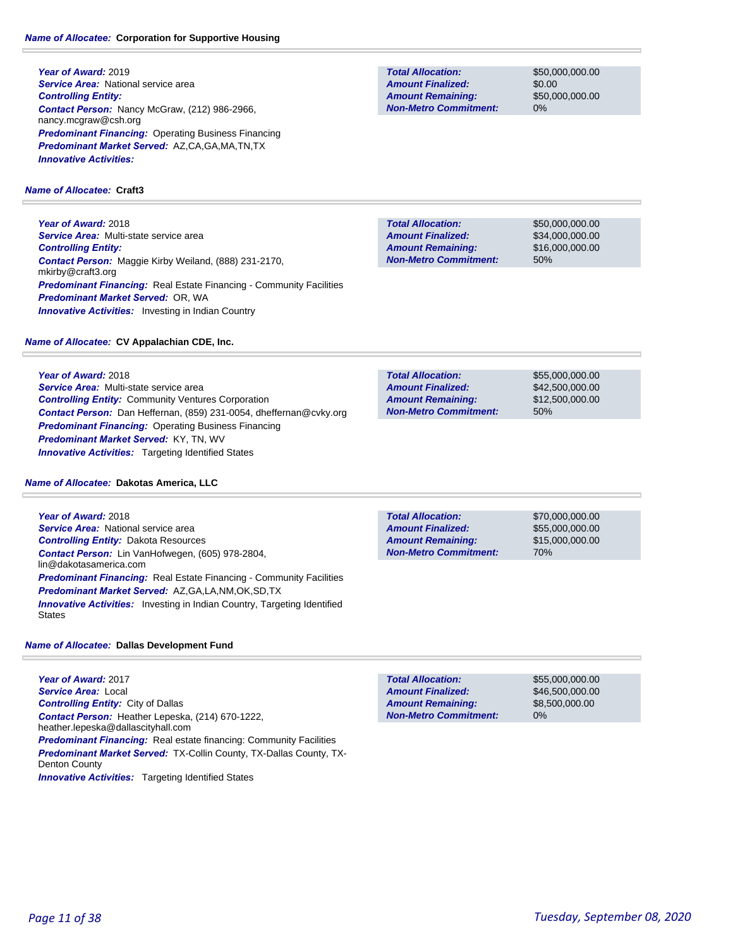**Year of Award:** 2019 **Service Area: National service area** *Controlling Entity: Contact Person:* Nancy McGraw, (212) 986-2966, nancy.mcgraw@csh.org **Predominant Financing: Operating Business Financing** *Predominant Market Served:* AZ,CA,GA,MA,TN,TX *Innovative Activities:* 

### *Name of Allocatee:* **Craft3**

**Year of Award:** 2018 *Service Area:* Multi-state service area *Controlling Entity: Contact Person:* Maggie Kirby Weiland, (888) 231-2170, mkirby@craft3.org **Predominant Financing:** Real Estate Financing - Community Facilities *Predominant Market Served:* OR, WA **Innovative Activities:** Investing in Indian Country

### *Name of Allocatee:* **CV Appalachian CDE, Inc.**

**Year of Award:** 2018 *Service Area:* Multi-state service area *Controlling Entity:* Community Ventures Corporation *Contact Person:* Dan Heffernan, (859) 231-0054, dheffernan@cvky.org *Predominant Financing:* Operating Business Financing *Predominant Market Served:* KY, TN, WV *Innovative Activities:* Targeting Identified States

### *Name of Allocatee:* **Dakotas America, LLC**

**Year of Award:** 2018 **Service Area:** National service area *Controlling Entity:* Dakota Resources *Contact Person:* Lin VanHofwegen, (605) 978-2804, lin@dakotasamerica.com **Predominant Financing:** Real Estate Financing - Community Facilities *Predominant Market Served:* AZ,GA,LA,NM,OK,SD,TX **Innovative Activities:** Investing in Indian Country, Targeting Identified States

### *Name of Allocatee:* **Dallas Development Fund**

**Year of Award:** 2017 *Service Area:* Local *Controlling Entity:* City of Dallas *Contact Person:* Heather Lepeska, (214) 670-1222, heather.lepeska@dallascityhall.com **Predominant Financing:** Real estate financing: Community Facilities *Predominant Market Served:* TX-Collin County, TX-Dallas County, TX-Denton County **Innovative Activities:** Targeting Identified States

**Total Allocation: Non-Metro Commitment: Amount Remaining: Amount Finalized:**

\$50,000,000.00 \$0.00 \$50,000,000.00 0%

\$50,000,000.00 \$34,000,000.00 \$16,000,000.00 50% **Total Allocation: Non-Metro Commitment: Amount Remaining: Amount Finalized:**

50% **Total Allocation: Non-Metro Commitment: Amount Remaining: Amount Finalized:**

\$55,000,000.00 \$42,500,000.00 \$12,500,000.00

70% **Total Allocation: Non-Metro Commitment: Amount Remaining: Amount Finalized:**

\$70,000,000.00 \$55,000,000.00 \$15,000,000.00

\$55,000,000.00 \$46,500,000.00 \$8,500,000.00 0% **Total Allocation: Non-Metro Commitment: Amount Remaining: Amount Finalized:**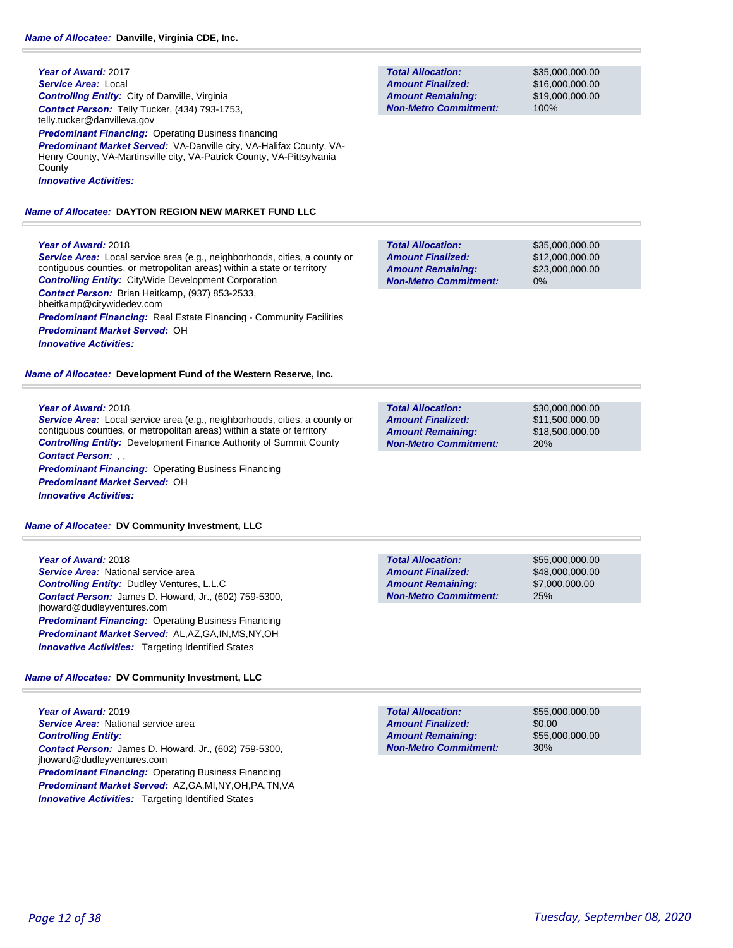#### **Year of Award:** 2017 *Service Area:* Local *Controlling Entity:* City of Danville, Virginia *Contact Person:* Telly Tucker, (434) 793-1753, telly.tucker@danvilleva.gov

**Predominant Financing: Operating Business financing** *Predominant Market Served:* VA-Danville city, VA-Halifax County, VA-Henry County, VA-Martinsville city, VA-Patrick County, VA-Pittsylvania **County** *Innovative Activities:* 

*Name of Allocatee:* **DAYTON REGION NEW MARKET FUND LLC**

#### **Year of Award:** 2018

*Service Area:* Local service area (e.g., neighborhoods, cities, a county or contiguous counties, or metropolitan areas) within a state or territory *Controlling Entity:* CityWide Development Corporation *Contact Person:* Brian Heitkamp, (937) 853-2533, bheitkamp@citywidedev.com

*Predominant Financing:* Real Estate Financing - Community Facilities

*Predominant Market Served:* OH

*Innovative Activities:* 

*Name of Allocatee:* **Development Fund of the Western Reserve, Inc.**

#### **Year of Award:** 2018

*Service Area:* Local service area (e.g., neighborhoods, cities, a county or contiguous counties, or metropolitan areas) within a state or territory *Controlling Entity:* Development Finance Authority of Summit County *Contact Person:* , , **Predominant Financing: Operating Business Financing** 

*Predominant Market Served:* OH

*Innovative Activities:* 

*Name of Allocatee:* **DV Community Investment, LLC**

| Year of Award: 2018                                          |  |  |
|--------------------------------------------------------------|--|--|
| <b>Service Area:</b> National service area                   |  |  |
| <b>Controlling Entity: Dudley Ventures, L.L.C</b>            |  |  |
| <b>Contact Person:</b> James D. Howard, Jr., (602) 759-5300, |  |  |
| jhoward@dudleyventures.com                                   |  |  |
| <b>Predominant Financing: Operating Business Financing</b>   |  |  |
| Predominant Market Served: AL, AZ, GA, IN, MS, NY, OH        |  |  |
| <b>Innovative Activities:</b> Targeting Identified States    |  |  |

### *Name of Allocatee:* **DV Community Investment, LLC**

**Year of Award:** 2019 **Service Area:** National service area *Controlling Entity: Contact Person:* James D. Howard, Jr., (602) 759-5300, jhoward@dudleyventures.com **Predominant Financing: Operating Business Financing** *Predominant Market Served:* AZ,GA,MI,NY,OH,PA,TN,VA **Innovative Activities:** Targeting Identified States

**Total Allocation: Non-Metro Commitment: Amount Remaining: Amount Finalized:**

\$35,000,000.00 \$16,000,000.00 \$19,000,000.00 100%

\$35,000,000.00 \$12,000,000.00 \$23,000,000.00 0% **Total Allocation: Non-Metro Commitment: Amount Remaining: Amount Finalized:**

| <b>Total Allocation:</b>     | \$30,000,000,00 |
|------------------------------|-----------------|
| <b>Amount Finalized:</b>     | \$11.500.000.00 |
| <b>Amount Remaining:</b>     | \$18,500,000,00 |
| <b>Non-Metro Commitment:</b> | 20%             |

| <b>Total Allocation:</b>     | \$55,000,000,00 |
|------------------------------|-----------------|
| <b>Amount Finalized:</b>     | \$48,000,000,00 |
| <b>Amount Remaining:</b>     | \$7,000,000,00  |
| <b>Non-Metro Commitment:</b> | 25%             |

\$0.00 30% **Total Allocation: Non-Metro Commitment: Amount Remaining: Amount Finalized:**

\$55,000,000.00 \$55,000,000.00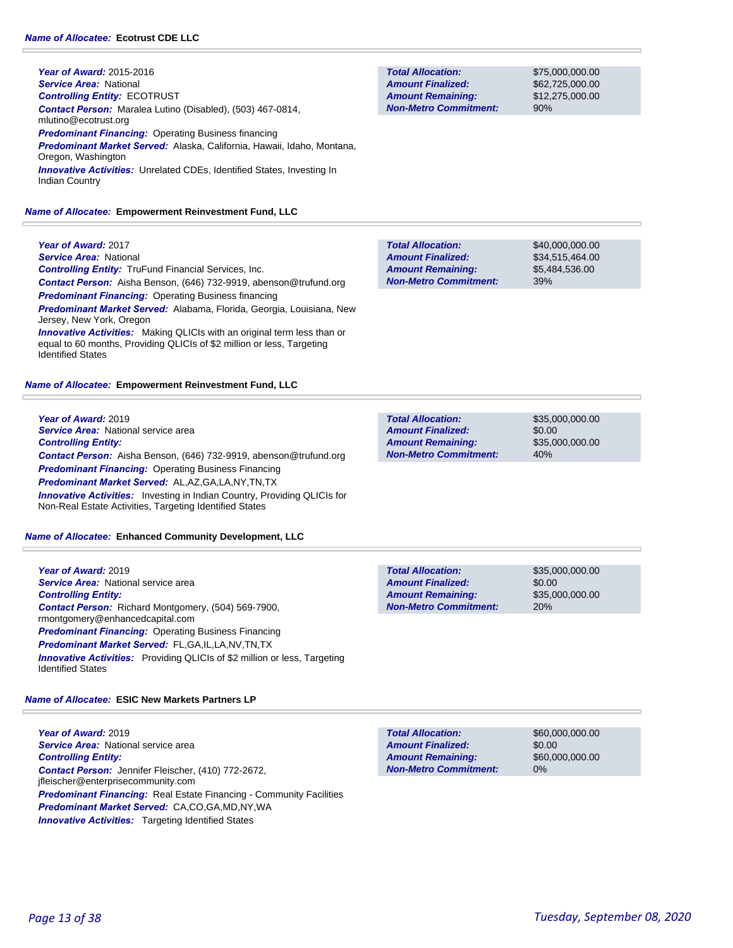Jersey, New York, Oregon

**Year of Award:** 2015-2016 *Service Area:* National *Controlling Entity:* ECOTRUST *Contact Person:* Maralea Lutino (Disabled), (503) 467-0814, mlutino@ecotrust.org *Predominant Financing:* Operating Business financing *Predominant Market Served:* Alaska, California, Hawaii, Idaho, Montana, Oregon, Washington *Innovative Activities:* Unrelated CDEs, Identified States, Investing In Indian Country

#### *Name of Allocatee:* **Empowerment Reinvestment Fund, LLC**

**Total Allocation: Non-Metro Commitment: Amount Remaining: Amount Finalized:**

\$75,000,000.00 \$62,725,000.00 \$12,275,000.00 90%

\$35,000,000.00

\$35,000,000.00

\$35,000,000.00

\$35,000,000.00

\$0.00

20%

\$0.00

40%

| Year of Award: 2017                                                      | <b>Total Allocation:</b>     | \$40,000,000,00 |
|--------------------------------------------------------------------------|------------------------------|-----------------|
| <b>Service Area: National</b>                                            | <b>Amount Finalized:</b>     | \$34.515.464.00 |
| <b>Controlling Entity:</b> TruFund Financial Services, Inc.              | <b>Amount Remaining:</b>     | \$5,484,536.00  |
| <b>Contact Person:</b> Aisha Benson, (646) 732-9919, abenson@trufund.org | <b>Non-Metro Commitment:</b> | 39%             |
| <b>Predominant Financing: Operating Business financing</b>               |                              |                 |
| Predominant Market Served: Alabama, Florida, Georgia, Louisiana, New     |                              |                 |

**Total Allocation:**

**Non-Metro Commitment: Amount Remaining: Amount Finalized:**

Identified States *Name of Allocatee:* **Empowerment Reinvestment Fund, LLC**

**Innovative Activities:** Making QLICIs with an original term less than or equal to 60 months, Providing QLICIs of \$2 million or less, Targeting

**Year of Award:** 2019 *Service Area:* National service area *Controlling Entity: Contact Person:* Aisha Benson, (646) 732-9919, abenson@trufund.org *Predominant Financing:* Operating Business Financing *Predominant Market Served:* AL,AZ,GA,LA,NY,TN,TX **Innovative Activities:** Investing in Indian Country, Providing QLICIs for

Non-Real Estate Activities, Targeting Identified States

#### *Name of Allocatee:* **Enhanced Community Development, LLC**

**Year of Award:** 2019 *Service Area:* National service area **Total Allocation: Non-Metro Commitment: Amount Remaining: Amount Finalized:** *Controlling Entity: Contact Person:* Richard Montgomery, (504) 569-7900, rmontgomery@enhancedcapital.com *Predominant Financing:* Operating Business Financing *Predominant Market Served:* FL,GA,IL,LA,NV,TN,TX *Innovative Activities:* Providing QLICIs of \$2 million or less, Targeting Identified States

*Name of Allocatee:* **ESIC New Markets Partners LP**

**Year of Award:** 2019 *Service Area:* National service area *Controlling Entity: Contact Person:* Jennifer Fleischer, (410) 772-2672, jfleischer@enterprisecommunity.com *Predominant Financing:* Real Estate Financing - Community Facilities *Predominant Market Served:* CA,CO,GA,MD,NY,WA *Innovative Activities:* Targeting Identified States

**Total Allocation: Non-Metro Commitment: Amount Remaining: Amount Finalized:**

\$60,000,000.00 \$0.00 \$60,000,000.00 0%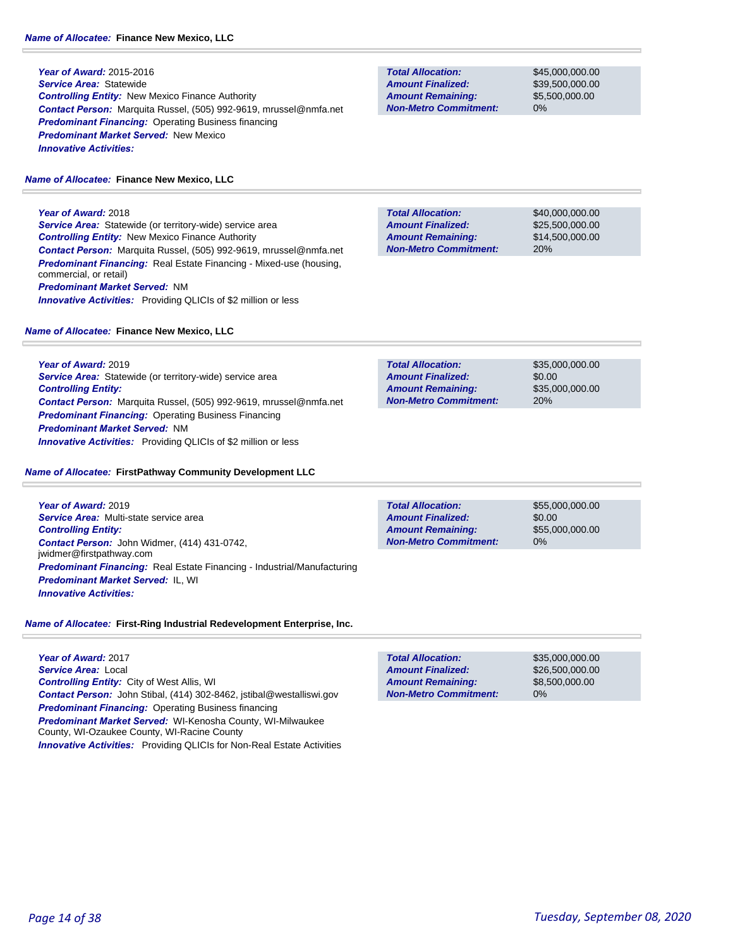**Year of Award:** 2015-2016 *Service Area:* Statewide *Controlling Entity:* New Mexico Finance Authority *Contact Person:* Marquita Russel, (505) 992-9619, mrussel@nmfa.net *Predominant Financing:* Operating Business financing *Predominant Market Served:* New Mexico *Innovative Activities:* 

#### *Name of Allocatee:* **Finance New Mexico, LLC**

**Year of Award:** 2018 *Service Area:* Statewide (or territory-wide) service area *Controlling Entity:* New Mexico Finance Authority *Contact Person:* Marquita Russel, (505) 992-9619, mrussel@nmfa.net *Predominant Financing:* Real Estate Financing - Mixed-use (housing, commercial, or retail) *Predominant Market Served:* NM **Innovative Activities:** Providing QLICIs of \$2 million or less

#### *Name of Allocatee:* **Finance New Mexico, LLC**

**Year of Award:** 2019 *Service Area:* Statewide (or territory-wide) service area *Controlling Entity: Contact Person:* Marquita Russel, (505) 992-9619, mrussel@nmfa.net *Predominant Financing:* Operating Business Financing *Predominant Market Served:* NM *Innovative Activities:* Providing QLICIs of \$2 million or less

#### *Name of Allocatee:* **FirstPathway Community Development LLC**

**Year of Award:** 2019 *Service Area:* Multi-state service area *Controlling Entity: Contact Person:* John Widmer, (414) 431-0742, jwidmer@firstpathway.com *Predominant Financing:* Real Estate Financing - Industrial/Manufacturing *Predominant Market Served:* IL, WI *Innovative Activities:* 

### *Name of Allocatee:* **First-Ring Industrial Redevelopment Enterprise, Inc.**

**Year of Award:** 2017 *Service Area:* Local *Controlling Entity:* City of West Allis, WI *Contact Person:* John Stibal, (414) 302-8462, jstibal@westalliswi.gov *Predominant Financing: Operating Business financing Predominant Market Served:* WI-Kenosha County, WI-Milwaukee County, WI-Ozaukee County, WI-Racine County *Innovative Activities:* Providing QLICIs for Non-Real Estate Activities

**Total Allocation: Non-Metro Commitment: Amount Remaining: Amount Finalized:**

\$45,000,000.00 \$39,500,000.00 \$5,500,000.00 0%

**Total Allocation: Non-Metro Commitment: Amount Remaining: Amount Finalized:**

\$40,000,000.00 \$25,500,000.00 \$14,500,000.00 20%

\$35,000,000.00 \$0.00 \$35,000,000.00 20% **Total Allocation: Non-Metro Commitment: Amount Remaining: Amount Finalized:**

0% **Total Allocation: Non-Metro Commitment: Amount Remaining: Amount Finalized:**

\$55,000,000.00 \$0.00 \$55,000,000.00

**Total Allocation: Non-Metro Commitment: Amount Remaining: Amount Finalized:**

\$35,000,000.00 \$26,500,000.00 \$8,500,000.00 0%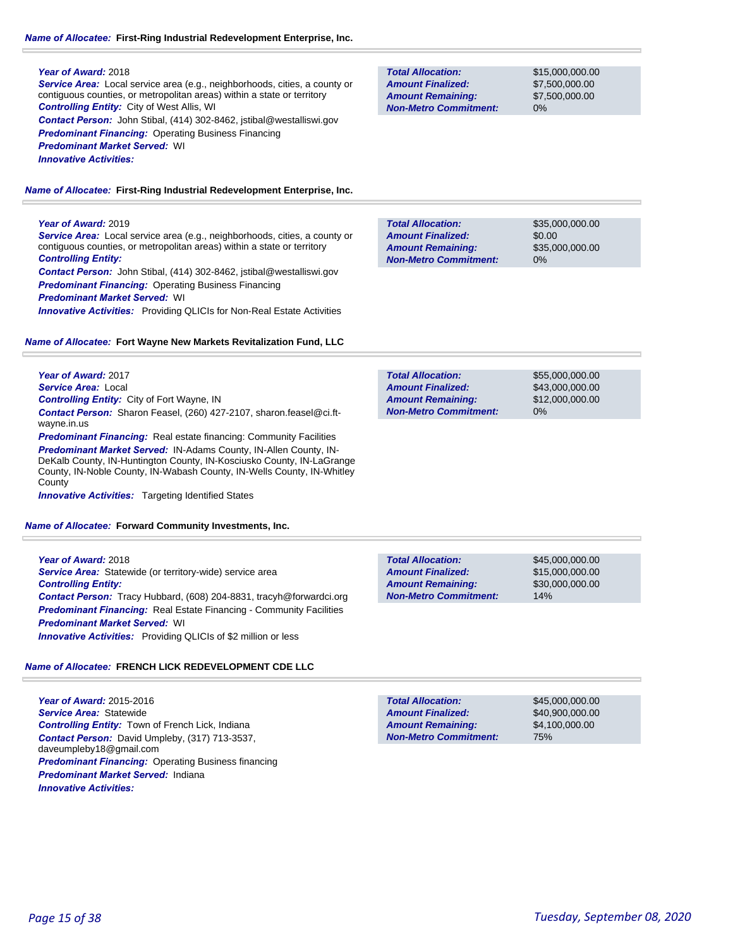### *Name of Allocatee:* **First-Ring Industrial Redevelopment Enterprise, Inc.**

#### **Year of Award:** 2018

*Service Area:* Local service area (e.g., neighborhoods, cities, a county or contiguous counties, or metropolitan areas) within a state or territory *Controlling Entity:* City of West Allis, WI *Contact Person:* John Stibal, (414) 302-8462, jstibal@westalliswi.gov

**Predominant Financing: Operating Business Financing** 

*Predominant Market Served:* WI

*Innovative Activities:* 

*Name of Allocatee:* **First-Ring Industrial Redevelopment Enterprise, Inc.**

### **Year of Award:** 2019

*Service Area:* Local service area (e.g., neighborhoods, cities, a county or contiguous counties, or metropolitan areas) within a state or territory *Controlling Entity:* 

*Contact Person:* John Stibal, (414) 302-8462, jstibal@westalliswi.gov **Predominant Financing: Operating Business Financing** 

*Predominant Market Served:* WI

*Innovative Activities:* Providing QLICIs for Non-Real Estate Activities

#### *Name of Allocatee:* **Fort Wayne New Markets Revitalization Fund, LLC**

**Year of Award:** 2017 *Service Area:* Local

*Controlling Entity:* City of Fort Wayne, IN

*Contact Person:* Sharon Feasel, (260) 427-2107, sharon.feasel@ci.ftwayne.in.us

**Predominant Financing:** Real estate financing: Community Facilities

*Predominant Market Served:* IN-Adams County, IN-Allen County, IN-DeKalb County, IN-Huntington County, IN-Kosciusko County, IN-LaGrange County, IN-Noble County, IN-Wabash County, IN-Wells County, IN-Whitley **County** 

**Innovative Activities:** Targeting Identified States

*Name of Allocatee:* **Forward Community Investments, Inc.**

**Year of Award:** 2018 *Service Area:* Statewide (or territory-wide) service area *Controlling Entity: Contact Person:* Tracy Hubbard, (608) 204-8831, tracyh@forwardci.org **Predominant Financing:** Real Estate Financing - Community Facilities *Predominant Market Served:* WI *Innovative Activities:* Providing QLICIs of \$2 million or less

### *Name of Allocatee:* **FRENCH LICK REDEVELOPMENT CDE LLC**

**Year of Award:** 2015-2016 *Service Area:* Statewide *Controlling Entity:* Town of French Lick, Indiana *Contact Person:* David Umpleby, (317) 713-3537, daveumpleby18@gmail.com *Predominant Financing: Operating Business financing Predominant Market Served:* Indiana *Innovative Activities:* 

**Total Allocation: Non-Metro Commitment: Amount Remaining: Amount Finalized:**

\$15,000,000.00 \$7,500,000.00 \$7,500,000.00 0%

\$35,000,000.00 \$0.00 \$35,000,000.00 0% **Total Allocation: Non-Metro Commitment: Amount Remaining: Amount Finalized:**

\$55,000,000.00 \$43,000,000.00 \$12,000,000.00 0% **Total Allocation: Non-Metro Commitment: Amount Remaining: Amount Finalized:**

\$45,000,000.00 \$15,000,000.00 \$30,000,000.00 14% **Total Allocation: Non-Metro Commitment: Amount Remaining: Amount Finalized:**

\$45,000,000.00 \$40,900,000.00 \$4,100,000.00 75% **Total Allocation: Non-Metro Commitment: Amount Remaining: Amount Finalized:**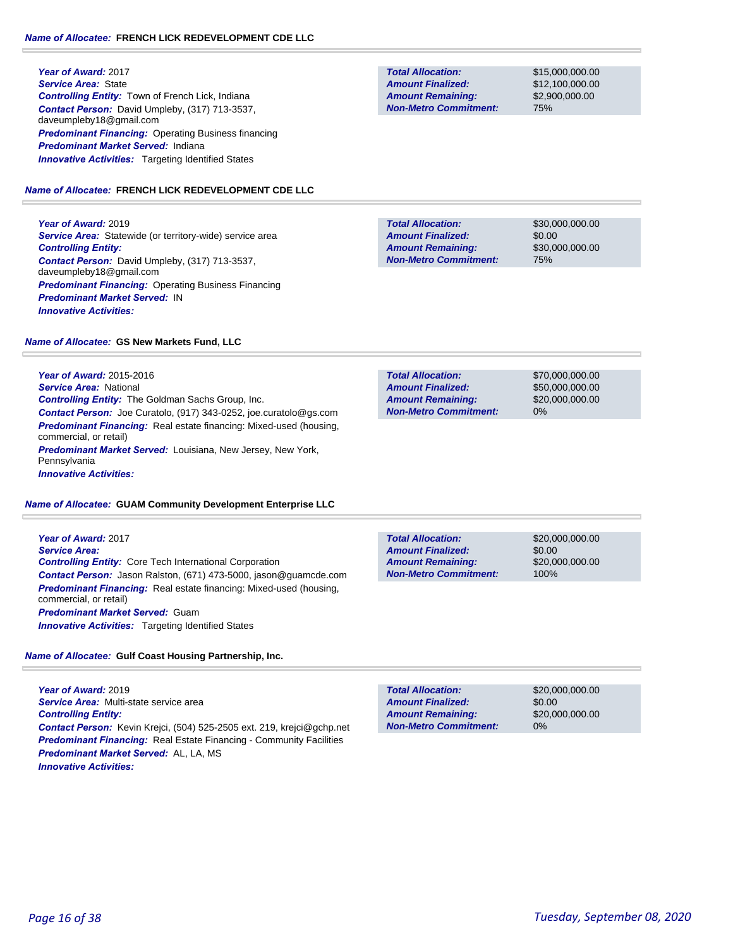**Year of Award:** 2017 *Service Area:* State *Controlling Entity:* Town of French Lick, Indiana *Contact Person:* David Umpleby, (317) 713-3537, daveumpleby18@gmail.com **Predominant Financing: Operating Business financing** *Predominant Market Served:* Indiana **Innovative Activities:** Targeting Identified States

### *Name of Allocatee:* **FRENCH LICK REDEVELOPMENT CDE LLC**

**Year of Award:** 2019 **Service Area:** Statewide (or territory-wide) service area *Controlling Entity: Contact Person:* David Umpleby, (317) 713-3537, daveumpleby18@gmail.com **Predominant Financing: Operating Business Financing** *Predominant Market Served:* IN *Innovative Activities:* 

### *Name of Allocatee:* **GS New Markets Fund, LLC**

**Year of Award:** 2015-2016 *Service Area:* National *Controlling Entity:* The Goldman Sachs Group, Inc. *Contact Person:* Joe Curatolo, (917) 343-0252, joe.curatolo@gs.com *Predominant Financing:* Real estate financing: Mixed-used (housing, commercial, or retail) *Predominant Market Served:* Louisiana, New Jersey, New York, Pennsylvania

*Innovative Activities:* 

### *Name of Allocatee:* **GUAM Community Development Enterprise LLC**

**Year of Award:** 2017 *Service Area: Controlling Entity:* Core Tech International Corporation *Contact Person:* Jason Ralston, (671) 473-5000, jason@guamcde.com **Predominant Financing:** Real estate financing: Mixed-used (housing, commercial, or retail) *Predominant Market Served:* Guam *Innovative Activities:* Targeting Identified States

### *Name of Allocatee:* **Gulf Coast Housing Partnership, Inc.**

**Year of Award:** 2019 *Service Area:* Multi-state service area *Controlling Entity: Contact Person:* Kevin Krejci, (504) 525-2505 ext. 219, krejci@gchp.net **Predominant Financing:** Real Estate Financing - Community Facilities *Predominant Market Served:* AL, LA, MS *Innovative Activities:* 

**Total Allocation: Non-Metro Commitment: Amount Remaining: Amount Finalized:**

\$15,000,000.00 \$12,100,000.00 \$2,900,000.00 75%

\$30,000,000.00 \$0.00 \$30,000,000.00 75% **Total Allocation: Non-Metro Commitment: Amount Remaining: Amount Finalized:**

**Total Allocation: Non-Metro Commitment: Amount Remaining: Amount Finalized:**

\$70,000,000.00 \$50,000,000.00 \$20,000,000.00 0%

\$20,000,000.00 \$0.00 \$20,000,000.00 100% **Total Allocation: Non-Metro Commitment: Amount Remaining: Amount Finalized:**

**Total Allocation: Non-Metro Commitment: Amount Remaining: Amount Finalized:**

\$20,000,000.00 \$0.00 \$20,000,000.00 0%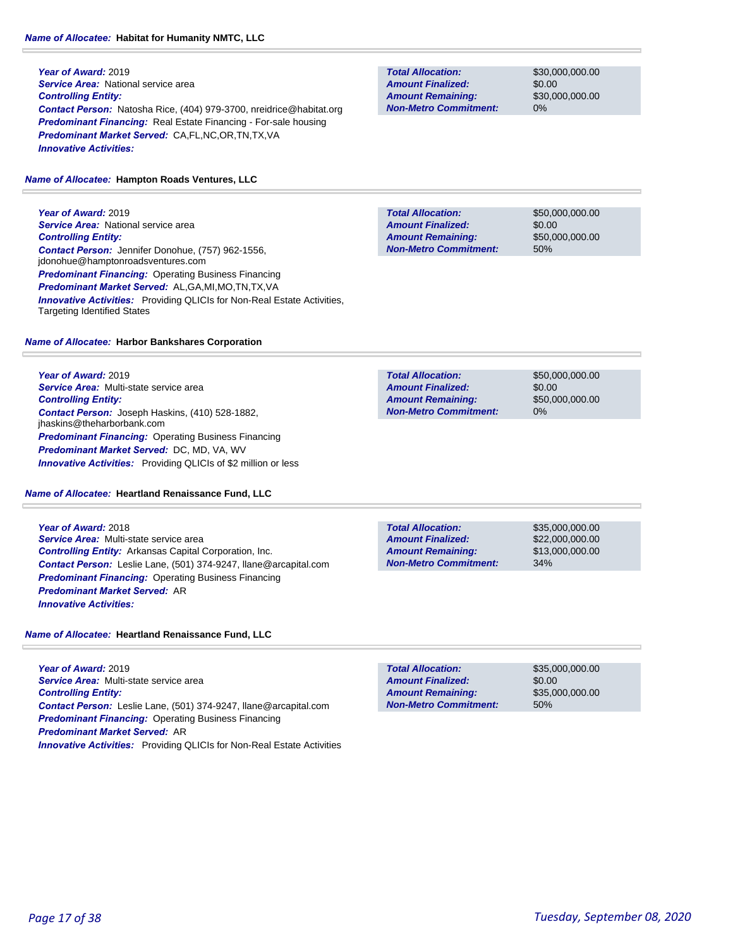### *Name of Allocatee:* **Habitat for Humanity NMTC, LLC**

**Year of Award:** 2019 **Service Area: National service area** *Controlling Entity: Contact Person:* Natosha Rice, (404) 979-3700, nreidrice@habitat.org *Predominant Financing:* Real Estate Financing - For-sale housing *Predominant Market Served:* CA,FL,NC,OR,TN,TX,VA *Innovative Activities:* 

### *Name of Allocatee:* **Hampton Roads Ventures, LLC**

**Year of Award:** 2019 **Service Area:** National service area *Controlling Entity: Contact Person:* Jennifer Donohue, (757) 962-1556, jdonohue@hamptonroadsventures.com *Predominant Financing:* Operating Business Financing *Predominant Market Served:* AL,GA,MI,MO,TN,TX,VA **Innovative Activities:** Providing QLICIs for Non-Real Estate Activities, Targeting Identified States

### *Name of Allocatee:* **Harbor Bankshares Corporation**

**Year of Award:** 2019 *Service Area:* Multi-state service area *Controlling Entity: Contact Person:* Joseph Haskins, (410) 528-1882, jhaskins@theharborbank.com *Predominant Financing: Operating Business Financing Predominant Market Served:* DC, MD, VA, WV *Innovative Activities:* Providing QLICIs of \$2 million or less

*Name of Allocatee:* **Heartland Renaissance Fund, LLC**

# **Year of Award:** 2018 *Service Area:* Multi-state service area *Controlling Entity:* Arkansas Capital Corporation, Inc.

*Contact Person:* Leslie Lane, (501) 374-9247, llane@arcapital.com *Predominant Financing:* Operating Business Financing *Predominant Market Served:* AR *Innovative Activities:* 

*Name of Allocatee:* **Heartland Renaissance Fund, LLC**

**Year of Award:** 2019 *Service Area:* Multi-state service area *Controlling Entity: Contact Person:* Leslie Lane, (501) 374-9247, llane@arcapital.com *Predominant Financing:* Operating Business Financing *Predominant Market Served:* AR *Innovative Activities:* Providing QLICIs for Non-Real Estate Activities

**Total Allocation: Non-Metro Commitment: Amount Remaining: Amount Finalized:**

\$30,000,000.00 \$0.00 \$30,000,000.00 0%

**Total Allocation: Non-Metro Commitment: Amount Remaining: Amount Finalized:**

\$50,000,000.00 \$0.00 \$50,000,000.00 50%

**Total Allocation: Non-Metro Commitment: Amount Remaining: Amount Finalized:**

\$50,000,000.00 \$0.00 \$50,000,000.00 0%

**Total Allocation: Non-Metro Commitment: Amount Remaining: Amount Finalized:**

\$35,000,000.00 \$22,000,000.00 \$13,000,000.00 34%

\$35,000,000.00 \$0.00 \$35,000,000.00 50% **Total Allocation: Non-Metro Commitment: Amount Remaining: Amount Finalized:**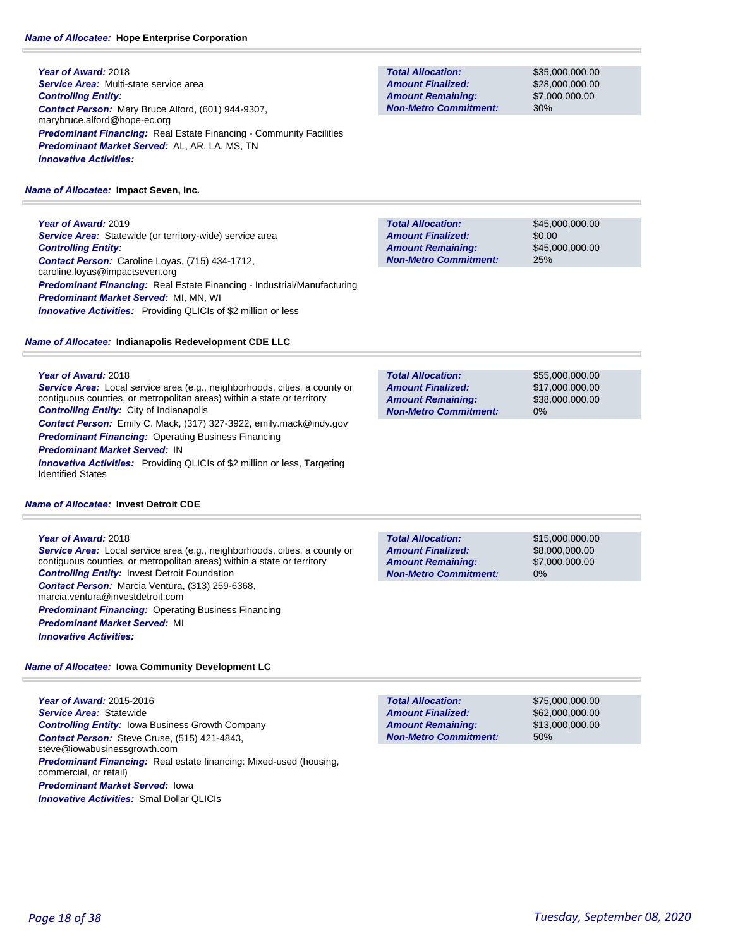**Year of Award:** 2018 *Service Area:* Multi-state service area *Controlling Entity: Contact Person:* Mary Bruce Alford, (601) 944-9307, marybruce.alford@hope-ec.org **Predominant Financing:** Real Estate Financing - Community Facilities *Predominant Market Served:* AL, AR, LA, MS, TN *Innovative Activities:* 

### *Name of Allocatee:* **Impact Seven, Inc.**

**Year of Award:** 2019 **Service Area:** Statewide (or territory-wide) service area *Controlling Entity: Contact Person:* Caroline Loyas, (715) 434-1712, caroline.loyas@impactseven.org *Predominant Financing:* Real Estate Financing - Industrial/Manufacturing *Predominant Market Served:* MI, MN, WI *Innovative Activities:* Providing QLICIs of \$2 million or less

### *Name of Allocatee:* **Indianapolis Redevelopment CDE LLC**

**Year of Award:** 2018

*Service Area:* Local service area (e.g., neighborhoods, cities, a county or contiguous counties, or metropolitan areas) within a state or territory *Controlling Entity:* City of Indianapolis *Contact Person:* Emily C. Mack, (317) 327-3922, emily.mack@indy.gov

*Predominant Financing: Operating Business Financing* 

### *Predominant Market Served:* IN

**Innovative Activities:** Providing QLICIs of \$2 million or less, Targeting Identified States

### *Name of Allocatee:* **Invest Detroit CDE**

### **Year of Award:** 2018

*Service Area:* Local service area (e.g., neighborhoods, cities, a county or contiguous counties, or metropolitan areas) within a state or territory *Controlling Entity:* Invest Detroit Foundation *Contact Person:* Marcia Ventura, (313) 259-6368, marcia.ventura@investdetroit.com **Predominant Financing: Operating Business Financing** *Predominant Market Served:* MI *Innovative Activities:* 

*Name of Allocatee:* **Iowa Community Development LC**

**Year of Award:** 2015-2016 *Service Area:* Statewide *Controlling Entity:* Iowa Business Growth Company *Contact Person:* Steve Cruse, (515) 421-4843, steve@iowabusinessgrowth.com **Predominant Financing:** Real estate financing: Mixed-used (housing, commercial, or retail) *Predominant Market Served:* Iowa *Innovative Activities:* Smal Dollar QLICIs

**Total Allocation: Non-Metro Commitment: Amount Remaining: Amount Finalized:**

\$35,000,000.00 \$28,000,000.00 \$7,000,000.00 30%

\$45,000,000.00 \$0.00 \$45,000,000.00 25% **Total Allocation: Non-Metro Commitment: Amount Remaining: Amount Finalized:**

**Total Allocation: Non-Metro Commitment: Amount Remaining: Amount Finalized:**

\$55,000,000.00 \$17,000,000.00 \$38,000,000.00 0%

**Total Allocation: Non-Metro Commitment: Amount Remaining: Amount Finalized:**

\$15,000,000.00 \$8,000,000.00 \$7,000,000.00 0%

\$75,000,000.00 \$62,000,000.00 \$13,000,000.00 50% **Total Allocation: Non-Metro Commitment: Amount Remaining: Amount Finalized:**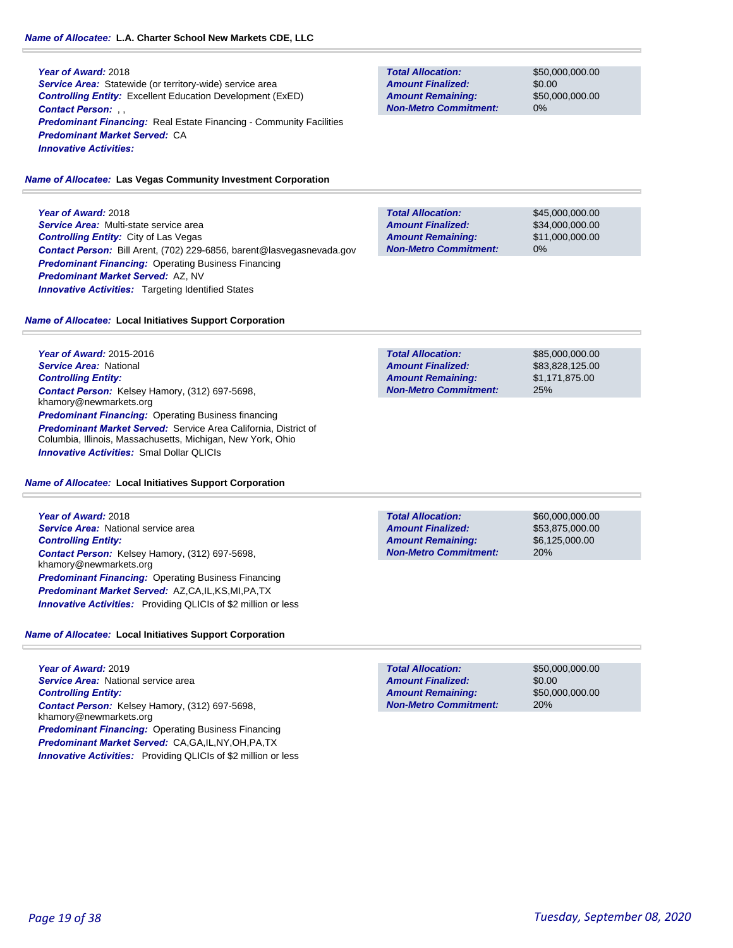### *Name of Allocatee:* **L.A. Charter School New Markets CDE, LLC**

#### **Year of Award:** 2018 **Service Area:** Statewide (or territory-wide) service area *Controlling Entity:* Excellent Education Development (ExED) *Contact Person:* , , **Predominant Financing:** Real Estate Financing - Community Facilities *Predominant Market Served:* CA

*Innovative Activities:* 

### *Name of Allocatee:* **Las Vegas Community Investment Corporation**

**Year of Award:** 2018 *Service Area:* Multi-state service area *Controlling Entity:* City of Las Vegas *Contact Person:* Bill Arent, (702) 229-6856, barent@lasvegasnevada.gov *Predominant Financing:* Operating Business Financing *Predominant Market Served:* AZ, NV **Innovative Activities:** Targeting Identified States

# **Total Allocation: Amount Remaining: Amount Finalized:**

**Non-Metro Commitment:**

**Total Allocation:**

**Non-Metro Commitment: Amount Remaining: Amount Finalized:**

> \$45,000,000.00 \$34,000,000.00 \$11,000,000.00 0%

> \$50,000,000.00 \$0.00

\$50,000,000.00

0%

### *Name of Allocatee:* **Local Initiatives Support Corporation**

**Year of Award:** 2015-2016 *Service Area:* National *Controlling Entity: Contact Person:* Kelsey Hamory, (312) 697-5698, khamory@newmarkets.org **Predominant Financing: Operating Business financing** *Predominant Market Served:* Service Area California, District of Columbia, Illinois, Massachusetts, Michigan, New York, Ohio *Innovative Activities:* Smal Dollar QLICIs

#### *Name of Allocatee:* **Local Initiatives Support Corporation**

**Year of Award:** 2018 *Service Area:* National service area *Controlling Entity: Contact Person:* Kelsey Hamory, (312) 697-5698, khamory@newmarkets.org *Predominant Financing:* Operating Business Financing *Predominant Market Served:* AZ,CA,IL,KS,MI,PA,TX *Innovative Activities:* Providing QLICIs of \$2 million or less

### *Name of Allocatee:* **Local Initiatives Support Corporation**

**Year of Award:** 2019 *Service Area:* National service area *Controlling Entity: Contact Person:* Kelsey Hamory, (312) 697-5698, khamory@newmarkets.org *Predominant Financing:* Operating Business Financing *Predominant Market Served:* CA,GA,IL,NY,OH,PA,TX *Innovative Activities:* Providing QLICIs of \$2 million or less

| <b>Total Allocation:</b>     | \$85,000,000,00 |
|------------------------------|-----------------|
| <b>Amount Finalized:</b>     | \$83,828,125.00 |
| <b>Amount Remaining:</b>     | \$1,171,875,00  |
| <b>Non-Metro Commitment:</b> | 25%             |

**Total Allocation: Non-Metro Commitment: Amount Remaining: Amount Finalized:**

\$60,000,000.00 \$53,875,000.00 \$6,125,000.00 20%

\$50,000,000.00 \$0.00 \$50,000,000.00 20% **Total Allocation: Non-Metro Commitment: Amount Remaining: Amount Finalized:**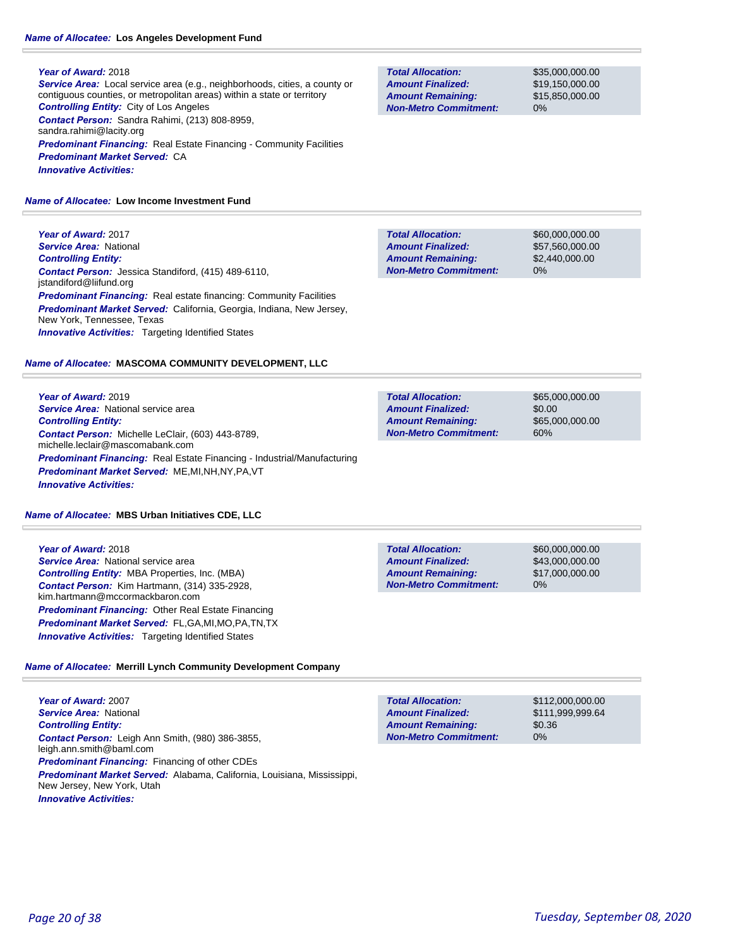*Service Area:* Local service area (e.g., neighborhoods, cities, a county or contiguous counties, or metropolitan areas) within a state or territory *Controlling Entity:* City of Los Angeles *Contact Person:* Sandra Rahimi, (213) 808-8959, sandra.rahimi@lacity.org **Predominant Financing:** Real Estate Financing - Community Facilities *Predominant Market Served:* CA *Innovative Activities:* 

**Total Allocation: Non-Metro Commitment: Amount Remaining: Amount Finalized:**

**Total Allocation:**

**Non-Metro Commitment: Amount Remaining: Amount Finalized:**

\$35,000,000.00 \$19,150,000.00 \$15,850,000.00 0%

\$60,000,000.00 \$57,560,000.00 \$2,440,000.00

0%

*Name of Allocatee:* **Low Income Investment Fund**

**Year of Award:** 2017 *Service Area:* National *Controlling Entity: Contact Person:* Jessica Standiford, (415) 489-6110, jstandiford@liifund.org **Predominant Financing:** Real estate financing: Community Facilities *Predominant Market Served:* California, Georgia, Indiana, New Jersey, New York, Tennessee, Texas **Innovative Activities:** Targeting Identified States

#### *Name of Allocatee:* **MASCOMA COMMUNITY DEVELOPMENT, LLC**

**Year of Award:** 2019 *Service Area:* National service area *Controlling Entity: Contact Person:* Michelle LeClair, (603) 443-8789, michelle.leclair@mascomabank.com *Predominant Financing:* Real Estate Financing - Industrial/Manufacturing *Predominant Market Served:* ME,MI,NH,NY,PA,VT *Innovative Activities:* 

#### *Name of Allocatee:* **MBS Urban Initiatives CDE, LLC**

**Year of Award:** 2018 *Service Area:* National service area *Controlling Entity:* MBA Properties, Inc. (MBA) *Contact Person:* Kim Hartmann, (314) 335-2928, kim.hartmann@mccormackbaron.com *Predominant Financing:* Other Real Estate Financing *Predominant Market Served:* FL,GA,MI,MO,PA,TN,TX *Innovative Activities:* Targeting Identified States

### *Name of Allocatee:* **Merrill Lynch Community Development Company**

**Year of Award:** 2007 *Service Area:* National *Controlling Entity: Contact Person:* Leigh Ann Smith, (980) 386-3855, leigh.ann.smith@baml.com *Predominant Financing:* Financing of other CDEs *Predominant Market Served:* Alabama, California, Louisiana, Mississippi, New Jersey, New York, Utah *Innovative Activities:* 

| <b>Total Allocation:</b>     | \$112,000,000,00 |
|------------------------------|------------------|
| <b>Amount Finalized:</b>     | \$111,999,999.64 |
| <b>Amount Remaining:</b>     | \$0.36           |
| <b>Non-Metro Commitment:</b> | $0\%$            |

\$65,000,000.00 \$0.00 \$65,000,000.00 60% **Total Allocation: Non-Metro Commitment: Amount Remaining: Amount Finalized:**

**Total Allocation: Amount Remaining: Amount Finalized:**

\$60,000,000.00 \$43,000,000.00 \$17,000,000.00 0%

*Page 20 of 38 Tuesday, September 08, 2020*

**Non-Metro Commitment:**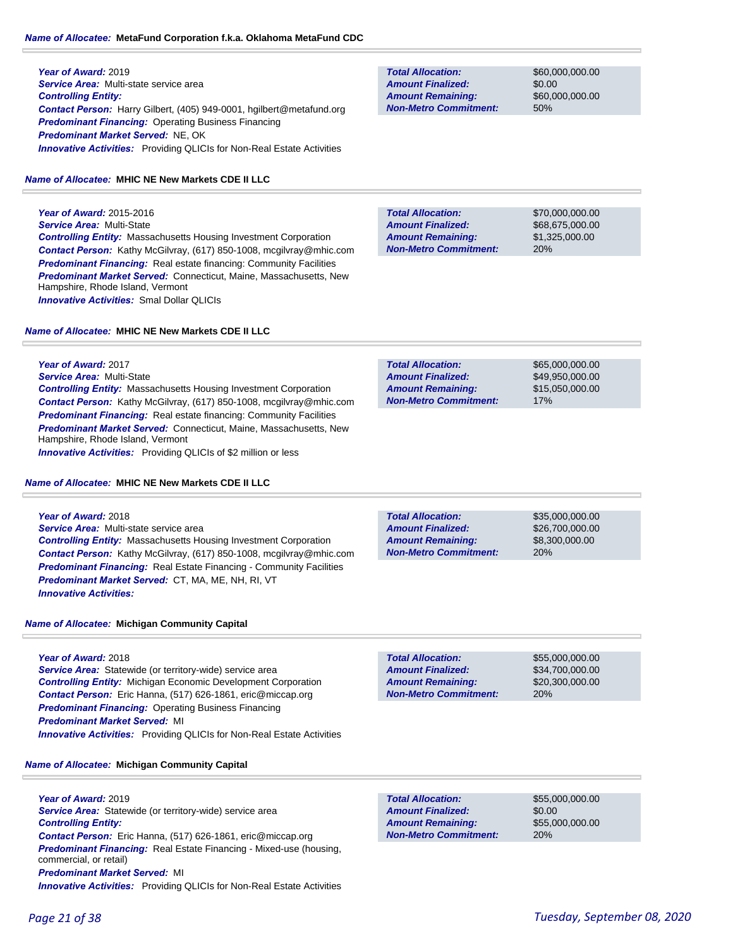**Year of Award:** 2019 *Service Area:* Multi-state service area *Controlling Entity: Contact Person:* Harry Gilbert, (405) 949-0001, hgilbert@metafund.org *Predominant Financing:* Operating Business Financing *Predominant Market Served:* NE, OK **Innovative Activities:** Providing QLICIs for Non-Real Estate Activities

### *Name of Allocatee:* **MHIC NE New Markets CDE II LLC**

**Year of Award:** 2015-2016 *Service Area:* Multi-State *Controlling Entity:* Massachusetts Housing Investment Corporation *Contact Person:* Kathy McGilvray, (617) 850-1008, mcgilvray@mhic.com **Predominant Financing:** Real estate financing: Community Facilities *Predominant Market Served:* Connecticut, Maine, Massachusetts, New Hampshire, Rhode Island, Vermont *Innovative Activities:* Smal Dollar QLICIs

### *Name of Allocatee:* **MHIC NE New Markets CDE II LLC**

**Total Allocation: Non-Metro Commitment: Amount Remaining: Amount Finalized:**

\$60,000,000.00 \$0.00 \$60,000,000.00 50%

**Total Allocation: Non-Metro Commitment: Amount Remaining: Amount Finalized:**

\$70,000,000.00 \$68,675,000.00 \$1,325,000.00 20%

| Year of Award: 2017                                                        | <b>Total Allocation:</b>     | \$65,000,000,00 |
|----------------------------------------------------------------------------|------------------------------|-----------------|
| <b>Service Area: Multi-State</b>                                           | <b>Amount Finalized:</b>     | \$49.950.000.00 |
| <b>Controlling Entity:</b> Massachusetts Housing Investment Corporation    | <b>Amount Remaining:</b>     | \$15,050,000,00 |
| <b>Contact Person:</b> Kathy McGilvray, (617) 850-1008, mcgilvray@mhic.com | <b>Non-Metro Commitment:</b> | 17%             |
|                                                                            |                              |                 |

**Total Allocation:**

**Contact Person:** Kathy McGilvray, (617) 850-1008, mcgi **Predominant Financing:** Real estate financing: Community Facilities *Predominant Market Served:* Connecticut, Maine, Massachusetts, New Hampshire, Rhode Island, Vermont *Innovative Activities:* Providing QLICIs of \$2 million or less

#### *Name of Allocatee:* **MHIC NE New Markets CDE II LLC**

| Year of Award: 2018                                                        |
|----------------------------------------------------------------------------|
| Service Area: Multi-state service area                                     |
| <b>Controlling Entity:</b> Massachusetts Housing Investment Corporation    |
| <b>Contact Person:</b> Kathy McGilvray, (617) 850-1008, mcgilvray@mhic.com |
| <b>Predominant Financing:</b> Real Estate Financing - Community Facilities |
| <b>Predominant Market Served: CT, MA, ME, NH, RI, VT</b>                   |

*Name of Allocatee:* **Michigan Community Capital**

#### **Year of Award:** 2018

*Innovative Activities:* 

**Service Area:** Statewide (or territory-wide) service area *Controlling Entity:* Michigan Economic Development Corporation *Contact Person:* Eric Hanna, (517) 626-1861, eric@miccap.org *Predominant Financing: Operating Business Financing Predominant Market Served:* MI **Innovative Activities:** Providing QLICIs for Non-Real Estate Activities

*Name of Allocatee:* **Michigan Community Capital**

**Year of Award:** 2019 *Service Area:* Statewide (or territory-wide) service area *Controlling Entity:* 

*Contact Person:* Eric Hanna, (517) 626-1861, eric@miccap.org *Predominant Financing:* Real Estate Financing - Mixed-use (housing, commercial, or retail) *Predominant Market Served:* MI

*Innovative Activities:* Providing QLICIs for Non-Real Estate Activities

**Total Allocation: Non-Metro Commitment: Amount Remaining: Amount Finalized:**

**Non-Metro Commitment: Amount Remaining: Amount Finalized:**

> \$55,000,000.00 \$34,700,000.00 \$20,300,000.00 20%

\$35,000,000.00 \$26,700,000.00 \$8,300,000.00

20%

**Total Allocation: Non-Metro Commitment: Amount Remaining: Amount Finalized:**

\$55,000,000.00 \$0.00 \$55,000,000.00 20%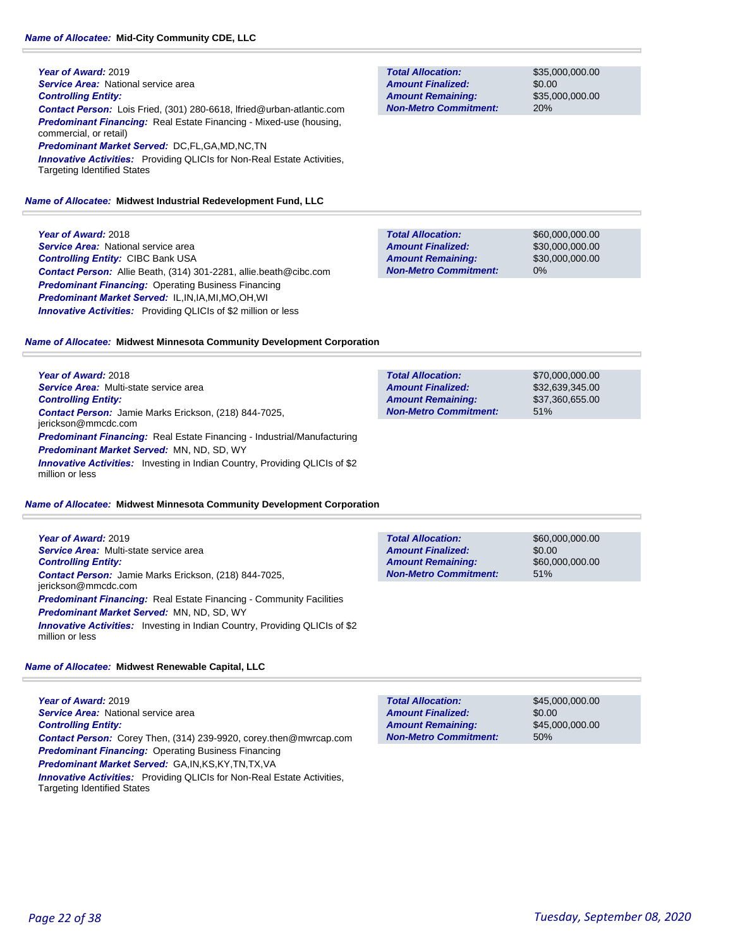**Year of Award:** 2019 **Service Area: National service area** *Controlling Entity: Contact Person:* Lois Fried, (301) 280-6618, lfried@urban-atlantic.com *Predominant Financing:* Real Estate Financing - Mixed-use (housing, commercial, or retail) *Predominant Market Served:* DC,FL,GA,MD,NC,TN *Innovative Activities:* Providing QLICIs for Non-Real Estate Activities,

Targeting Identified States

### *Name of Allocatee:* **Midwest Industrial Redevelopment Fund, LLC**

**Year of Award:** 2018 **Service Area:** National service area *Controlling Entity:* CIBC Bank USA *Contact Person:* Allie Beath, (314) 301-2281, allie.beath@cibc.com **Predominant Financing: Operating Business Financing** *Predominant Market Served:* IL,IN,IA,MI,MO,OH,WI *Innovative Activities:* Providing QLICIs of \$2 million or less

*Name of Allocatee:* **Midwest Minnesota Community Development Corporation**

**Year of Award:** 2018 *Service Area:* Multi-state service area *Controlling Entity: Contact Person:* Jamie Marks Erickson, (218) 844-7025, jerickson@mmcdc.com *Predominant Financing:* Real Estate Financing - Industrial/Manufacturing *Predominant Market Served:* MN, ND, SD, WY *Innovative Activities:* Investing in Indian Country, Providing QLICIs of \$2 million or less

### *Name of Allocatee:* **Midwest Minnesota Community Development Corporation**

**Year of Award:** 2019 *Service Area:* Multi-state service area *Controlling Entity: Contact Person:* Jamie Marks Erickson, (218) 844-7025, jerickson@mmcdc.com **Predominant Financing:** Real Estate Financing - Community Facilities *Predominant Market Served:* MN, ND, SD, WY **Innovative Activities:** Investing in Indian Country, Providing QLICIs of \$2 million or less

### *Name of Allocatee:* **Midwest Renewable Capital, LLC**

**Year of Award:** 2019 *Service Area:* National service area *Controlling Entity: Contact Person:* Corey Then, (314) 239-9920, corey.then@mwrcap.com *Predominant Financing:* Operating Business Financing *Predominant Market Served:* GA,IN,KS,KY,TN,TX,VA *Innovative Activities:* Providing QLICIs for Non-Real Estate Activities, Targeting Identified States

| <b>Total Allocation:</b>     | \$45,000,000,00 |
|------------------------------|-----------------|
| <b>Amount Finalized:</b>     | \$0.00          |
| <b>Amount Remaining:</b>     | \$45,000,000,00 |
| <b>Non-Metro Commitment:</b> | 50%             |
|                              |                 |

**Total Allocation: Non-Metro Commitment: Amount Remaining: Amount Finalized:**

\$35,000,000.00 \$0.00 \$35,000,000.00 20%

\$60,000,000.00 \$30,000,000.00 \$30,000,000.00 0% **Total Allocation: Non-Metro Commitment: Amount Remaining: Amount Finalized:**

\$70,000,000.00 \$32,639,345.00 \$37,360,655.00 51% **Total Allocation: Non-Metro Commitment: Amount Remaining: Amount Finalized:**

\$60,000,000.00 \$0.00 \$60,000,000.00 51% **Total Allocation: Non-Metro Commitment: Amount Remaining: Amount Finalized:**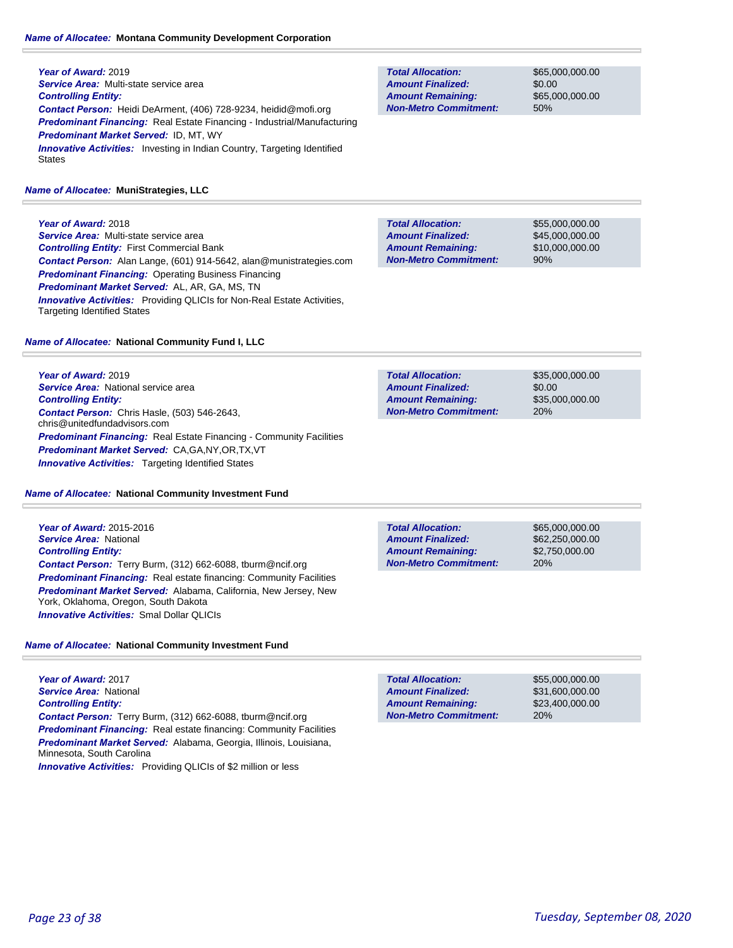### *Name of Allocatee:* **Montana Community Development Corporation**

**Year of Award:** 2019 *Service Area:* Multi-state service area *Controlling Entity: Contact Person:* Heidi DeArment, (406) 728-9234, heidid@mofi.org *Predominant Financing:* Real Estate Financing - Industrial/Manufacturing *Predominant Market Served:* ID, MT, WY **Innovative Activities:** Investing in Indian Country, Targeting Identified **States** 

#### *Name of Allocatee:* **MuniStrategies, LLC**

**Year of Award:** 2018 *Service Area:* Multi-state service area *Controlling Entity:* First Commercial Bank *Contact Person:* Alan Lange, (601) 914-5642, alan@munistrategies.com *Predominant Financing:* Operating Business Financing *Predominant Market Served:* AL, AR, GA, MS, TN **Innovative Activities:** Providing QLICIs for Non-Real Estate Activities, Targeting Identified States

#### *Name of Allocatee:* **National Community Fund I, LLC**

**Year of Award:** 2019 **Service Area:** National service area *Controlling Entity: Contact Person:* Chris Hasle, (503) 546-2643, chris@unitedfundadvisors.com *Predominant Financing:* Real Estate Financing - Community Facilities *Predominant Market Served:* CA,GA,NY,OR,TX,VT **Innovative Activities:** Targeting Identified States

#### *Name of Allocatee:* **National Community Investment Fund**

**Year of Award:** 2015-2016 *Service Area:* National *Controlling Entity: Contact Person:* Terry Burm, (312) 662-6088, tburm@ncif.org **Predominant Financing:** Real estate financing: Community Facilities *Predominant Market Served:* Alabama, California, New Jersey, New York, Oklahoma, Oregon, South Dakota *Innovative Activities:* Smal Dollar QLICIs

#### *Name of Allocatee:* **National Community Investment Fund**

**Year of Award:** 2017 *Service Area:* National *Controlling Entity: Contact Person:* Terry Burm, (312) 662-6088, tburm@ncif.org **Predominant Financing:** Real estate financing: Community Facilities *Predominant Market Served:* Alabama, Georgia, Illinois, Louisiana, Minnesota, South Carolina *Innovative Activities:* Providing QLICIs of \$2 million or less

**Non-Metro Commitment: Amount Remaining:**

\$65,000,000.00 \$0.00 \$65,000,000.00 50% **Total Allocation: Amount Finalized:**

\$55,000,000.00 \$45,000,000.00 \$10,000,000.00 90% **Total Allocation: Non-Metro Commitment: Amount Remaining: Amount Finalized:**

**Total Allocation: Non-Metro Commitment: Amount Remaining: Amount Finalized:**

\$35,000,000.00 \$0.00 \$35,000,000.00 20%

**Total Allocation: Non-Metro Commitment: Amount Remaining: Amount Finalized:**

\$65,000,000.00 \$62,250,000.00 \$2,750,000.00 20%

\$55,000,000.00 \$31,600,000.00 \$23,400,000.00 20% **Total Allocation: Non-Metro Commitment: Amount Remaining: Amount Finalized:**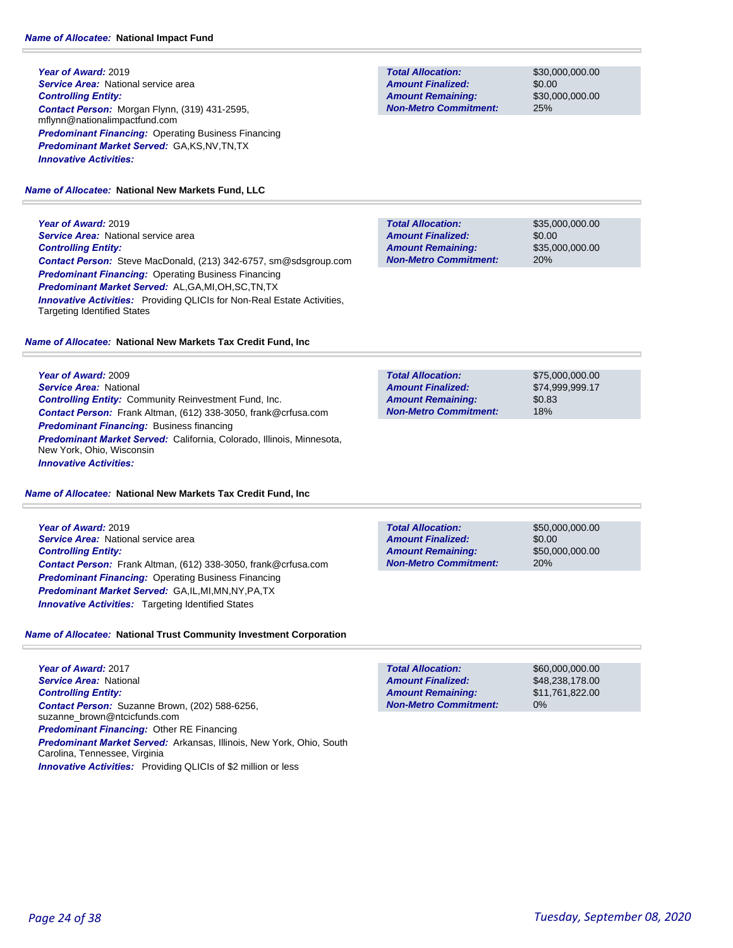**Year of Award:** 2019 **Service Area: National service area** *Controlling Entity: Contact Person:* Morgan Flynn, (319) 431-2595, mflynn@nationalimpactfund.com **Predominant Financing: Operating Business Financing** *Predominant Market Served:* GA,KS,NV,TN,TX *Innovative Activities:* 

#### *Name of Allocatee:* **National New Markets Fund, LLC**

**Year of Award:** 2019 **Service Area: National service area** *Controlling Entity: Contact Person:* Steve MacDonald, (213) 342-6757, sm@sdsgroup.com *Predominant Financing:* Operating Business Financing *Predominant Market Served:* AL,GA,MI,OH,SC,TN,TX **Innovative Activities:** Providing QLICIs for Non-Real Estate Activities, Targeting Identified States

#### *Name of Allocatee:* **National New Markets Tax Credit Fund, Inc**

**Year of Award:** 2009 *Service Area:* National *Controlling Entity:* Community Reinvestment Fund, Inc. *Contact Person:* Frank Altman, (612) 338-3050, frank@crfusa.com *Predominant Financing:* Business financing *Predominant Market Served:* California, Colorado, Illinois, Minnesota, New York, Ohio, Wisconsin *Innovative Activities:* 

#### *Name of Allocatee:* **National New Markets Tax Credit Fund, Inc**

**Year of Award:** 2019 **Service Area:** National service area *Controlling Entity: Contact Person:* Frank Altman, (612) 338-3050, frank@crfusa.com **Predominant Financing: Operating Business Financing** *Predominant Market Served:* GA,IL,MI,MN,NY,PA,TX *Innovative Activities:* Targeting Identified States

### *Name of Allocatee:* **National Trust Community Investment Corporation**

**Year of Award:** 2017 *Service Area:* National *Controlling Entity: Contact Person:* Suzanne Brown, (202) 588-6256, suzanne\_brown@ntcicfunds.com *Predominant Financing:* Other RE Financing *Predominant Market Served:* Arkansas, Illinois, New York, Ohio, South Carolina, Tennessee, Virginia *Innovative Activities:* Providing QLICIs of \$2 million or less

**Total Allocation: Non-Metro Commitment: Amount Remaining: Amount Finalized:**

\$30,000,000.00 \$0.00 \$30,000,000.00 25%

\$35,000,000.00 \$0.00 \$35,000,000.00 20% **Total Allocation: Non-Metro Commitment: Amount Remaining: Amount Finalized:**

\$75,000,000.00 \$74,999,999.17 \$0.83 18% **Total Allocation: Non-Metro Commitment: Amount Remaining: Amount Finalized:**

**Total Allocation: Non-Metro Commitment: Amount Remaining: Amount Finalized:**

\$50,000,000.00 \$0.00 \$50,000,000.00 20%

\$60,000,000.00 \$48,238,178.00 \$11,761,822.00 0% **Total Allocation: Non-Metro Commitment: Amount Remaining: Amount Finalized:**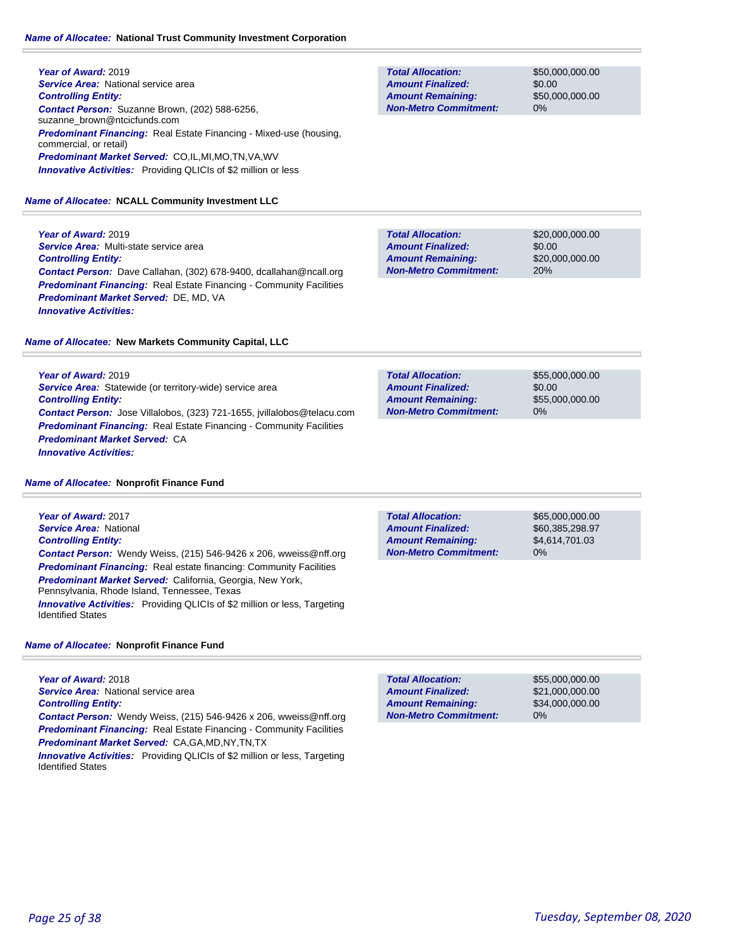#### *Name of Allocatee:* **National Trust Community Investment Corporation**

**Year of Award:** 2019 **Service Area:** National service area *Controlling Entity: Contact Person:* Suzanne Brown, (202) 588-6256, suzanne\_brown@ntcicfunds.com *Predominant Financing:* Real Estate Financing - Mixed-use (housing, commercial, or retail) *Predominant Market Served:* CO,IL,MI,MO,TN,VA,WV *Innovative Activities:* Providing QLICIs of \$2 million or less

*Name of Allocatee:* **NCALL Community Investment LLC**

**Year of Award:** 2019 *Service Area:* Multi-state service area *Controlling Entity: Contact Person:* Dave Callahan, (302) 678-9400, dcallahan@ncall.org **Predominant Financing:** Real Estate Financing - Community Facilities *Predominant Market Served:* DE, MD, VA *Innovative Activities:* 

*Name of Allocatee:* **New Markets Community Capital, LLC**

**Year of Award:** 2019 *Service Area:* Statewide (or territory-wide) service area *Controlling Entity: Contact Person:* Jose Villalobos, (323) 721-1655, jvillalobos@telacu.com **Predominant Financing:** Real Estate Financing - Community Facilities *Predominant Market Served:* CA *Innovative Activities:* 

#### *Name of Allocatee:* **Nonprofit Finance Fund**

**Year of Award:** 2017 *Service Area:* National *Controlling Entity: Contact Person:* Wendy Weiss, (215) 546-9426 x 206, wweiss@nff.org **Predominant Financing:** Real estate financing: Community Facilities *Predominant Market Served:* California, Georgia, New York, Pennsylvania, Rhode Island, Tennessee, Texas *Innovative Activities:* Providing QLICIs of \$2 million or less, Targeting Identified States

#### *Name of Allocatee:* **Nonprofit Finance Fund**

**Year of Award:** 2018 **Service Area:** National service area *Controlling Entity: Contact Person:* Wendy Weiss, (215) 546-9426 x 206, wweiss@nff.org **Predominant Financing:** Real Estate Financing - Community Facilities *Predominant Market Served:* CA,GA,MD,NY,TN,TX

**Innovative Activities:** Providing QLICIs of \$2 million or less, Targeting Identified States

**Total Allocation: Non-Metro Commitment: Amount Remaining: Amount Finalized:**

\$50,000,000.00 \$0.00 \$50,000,000.00 0%

**Total Allocation: Non-Metro Commitment: Amount Remaining: Amount Finalized:**

\$20,000,000.00 \$0.00 \$20,000,000.00 20%

**Total Allocation: Non-Metro Commitment: Amount Remaining: Amount Finalized:**

\$55,000,000.00 \$0.00 \$55,000,000.00 0%

**Total Allocation: Non-Metro Commitment: Amount Remaining: Amount Finalized:**

\$65,000,000.00 \$60,385,298.97 \$4,614,701.03 0%

\$55,000,000.00 \$21,000,000.00 \$34,000,000.00 0% **Total Allocation: Non-Metro Commitment: Amount Remaining: Amount Finalized:**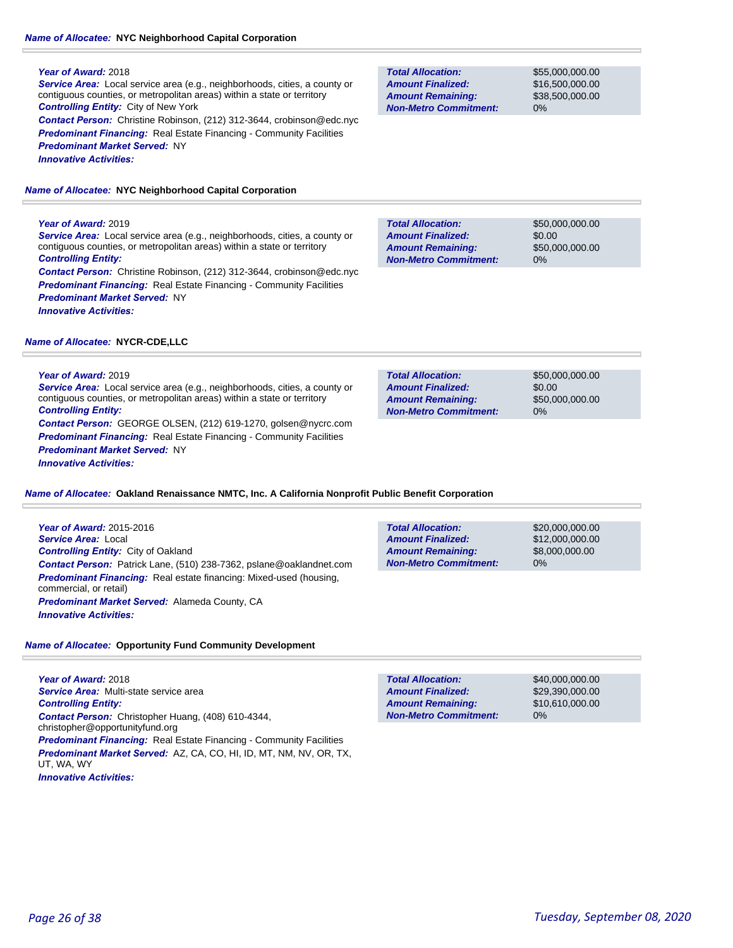### *Name of Allocatee:* **NYC Neighborhood Capital Corporation**

#### **Year of Award:** 2018

*Service Area:* Local service area (e.g., neighborhoods, cities, a county or contiguous counties, or metropolitan areas) within a state or territory *Controlling Entity:* City of New York *Contact Person:* Christine Robinson, (212) 312-3644, crobinson@edc.nyc **Predominant Financing:** Real Estate Financing - Community Facilities *Predominant Market Served:* NY

*Innovative Activities:* 

*Name of Allocatee:* **NYC Neighborhood Capital Corporation**

### **Year of Award:** 2019

*Service Area:* Local service area (e.g., neighborhoods, cities, a county or contiguous counties, or metropolitan areas) within a state or territory *Controlling Entity:* 

*Contact Person:* Christine Robinson, (212) 312-3644, crobinson@edc.nyc **Predominant Financing:** Real Estate Financing - Community Facilities *Predominant Market Served:* NY *Innovative Activities:* 

### *Name of Allocatee:* **NYCR-CDE,LLC**

### **Year of Award:** 2019

*Service Area:* Local service area (e.g., neighborhoods, cities, a county or contiguous counties, or metropolitan areas) within a state or territory *Controlling Entity: Contact Person:* GEORGE OLSEN, (212) 619-1270, golsen@nycrc.com

**Predominant Financing:** Real Estate Financing - Community Facilities *Predominant Market Served:* NY *Innovative Activities:* 

*Name of Allocatee:* **Oakland Renaissance NMTC, Inc. A California Nonprofit Public Benefit Corporation**

**Year of Award:** 2015-2016 *Service Area:* Local *Controlling Entity:* City of Oakland *Contact Person:* Patrick Lane, (510) 238-7362, pslane@oaklandnet.com *Predominant Financing:* Real estate financing: Mixed-used (housing, commercial, or retail) *Predominant Market Served:* Alameda County, CA *Innovative Activities:* 

*Name of Allocatee:* **Opportunity Fund Community Development**

**Year of Award:** 2018 *Service Area:* Multi-state service area *Controlling Entity: Contact Person:* Christopher Huang, (408) 610-4344, christopher@opportunityfund.org **Predominant Financing:** Real Estate Financing - Community Facilities *Predominant Market Served:* AZ, CA, CO, HI, ID, MT, NM, NV, OR, TX, UT, WA, WY *Innovative Activities:* 

**Total Allocation: Non-Metro Commitment: Amount Remaining: Amount Finalized:**

\$55,000,000.00 \$16,500,000.00 \$38,500,000.00 0%

\$50,000,000.00 \$0.00 \$50,000,000.00 0% **Total Allocation: Non-Metro Commitment: Amount Remaining: Amount Finalized:**

**Total Allocation: Non-Metro Commitment: Amount Remaining: Amount Finalized:**

\$50,000,000.00 \$0.00 \$50,000,000.00 0%

**Total Allocation: Non-Metro Commitment: Amount Remaining: Amount Finalized:**

\$20,000,000.00 \$12,000,000.00 \$8,000,000.00 0%

\$40,000,000.00 \$29,390,000.00 \$10,610,000.00 0% **Total Allocation: Non-Metro Commitment: Amount Remaining: Amount Finalized:**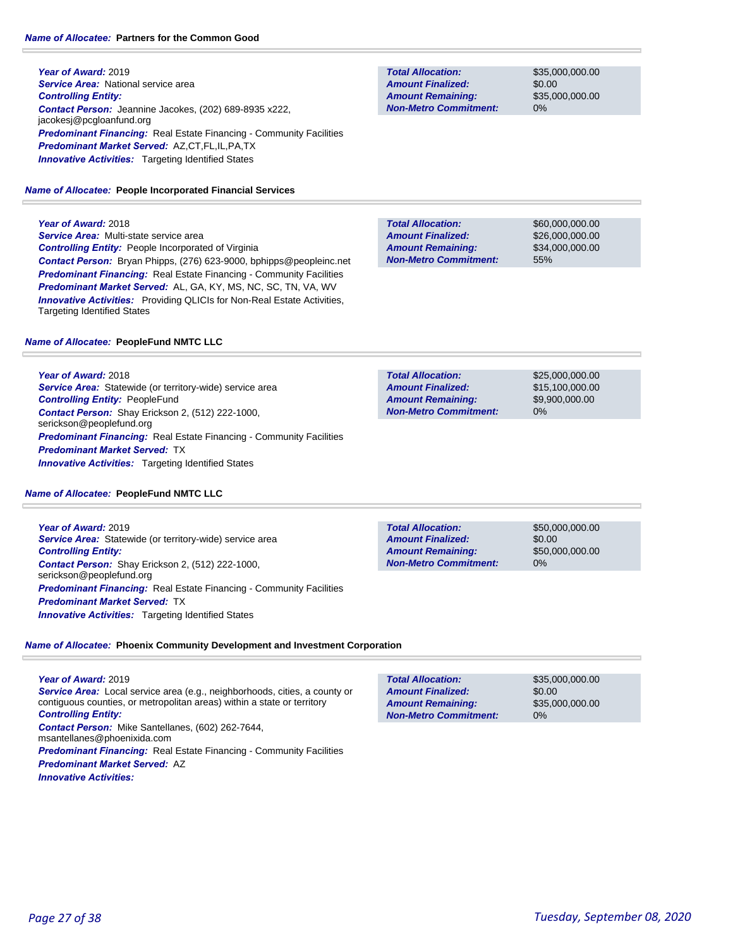### *Name of Allocatee:* **Partners for the Common Good**

**Year of Award:** 2019 **Service Area:** National service area *Controlling Entity: Contact Person:* Jeannine Jacokes, (202) 689-8935 x222, jacokesj@pcgloanfund.org **Predominant Financing:** Real Estate Financing - Community Facilities *Predominant Market Served:* AZ,CT,FL,IL,PA,TX **Innovative Activities:** Targeting Identified States

### *Name of Allocatee:* **People Incorporated Financial Services**

**Year of Award:** 2018

*Service Area:* Multi-state service area *Controlling Entity:* People Incorporated of Virginia *Contact Person:* Bryan Phipps, (276) 623-9000, bphipps@peopleinc.net *Predominant Financing:* Real Estate Financing - Community Facilities *Predominant Market Served:* AL, GA, KY, MS, NC, SC, TN, VA, WV **Innovative Activities:** Providing QLICIs for Non-Real Estate Activities, Targeting Identified States

### *Name of Allocatee:* **PeopleFund NMTC LLC**

**Year of Award:** 2018 *Service Area:* Statewide (or territory-wide) service area *Controlling Entity:* PeopleFund *Contact Person:* Shay Erickson 2, (512) 222-1000, serickson@peoplefund.org **Predominant Financing:** Real Estate Financing - Community Facilities *Predominant Market Served:* TX **Innovative Activities:** Targeting Identified States

### *Name of Allocatee:* **PeopleFund NMTC LLC**

**Year of Award:** 2019 *Service Area:* Statewide (or territory-wide) service area *Controlling Entity: Contact Person:* Shay Erickson 2, (512) 222-1000, serickson@peoplefund.org *Predominant Financing:* Real Estate Financing - Community Facilities *Predominant Market Served:* TX **Innovative Activities:** Targeting Identified States

**Total Allocation: Non-Metro Commitment: Amount Remaining: Amount Finalized:**

\$35,000,000.00 \$0.00 \$35,000,000.00 0%

\$60,000,000.00 \$26,000,000.00 \$34,000,000.00 55% **Total Allocation: Non-Metro Commitment: Amount Remaining: Amount Finalized:**

**Total Allocation: Non-Metro Commitment: Amount Remaining: Amount Finalized:**

\$25,000,000.00 \$15,100,000.00 \$9,900,000.00 0%

**Total Allocation: Non-Metro Commitment: Amount Remaining: Amount Finalized:**

\$50,000,000.00 \$0.00 \$50,000,000.00 0%

*Name of Allocatee:* **Phoenix Community Development and Investment Corporation**

**Year of Award:** 2019 *Service Area:* Local service area (e.g., neighborhoods, cities, a county or contiguous counties, or metropolitan areas) within a state or territory *Controlling Entity: Contact Person:* Mike Santellanes, (602) 262-7644, msantellanes@phoenixida.com **Predominant Financing:** Real Estate Financing - Community Facilities *Predominant Market Served:* AZ *Innovative Activities:* 

\$35,000,000.00 \$0.00 \$35,000,000.00 0% **Total Allocation: Non-Metro Commitment: Amount Remaining: Amount Finalized:**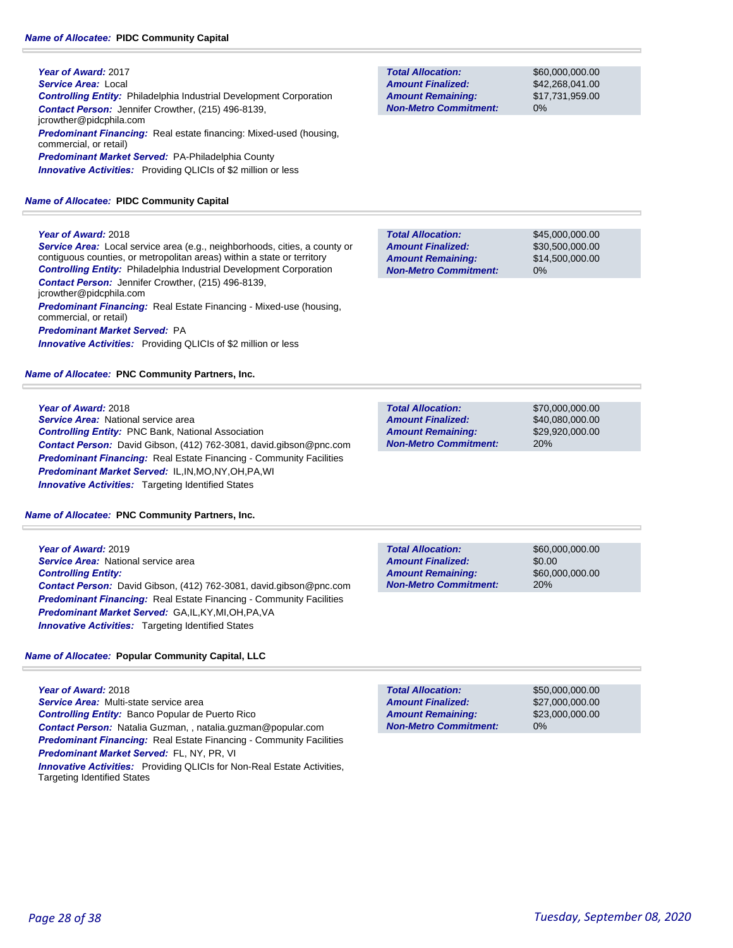**Year of Award:** 2017 *Service Area:* Local *Controlling Entity:* Philadelphia Industrial Development Corporation *Contact Person:* Jennifer Crowther, (215) 496-8139, jcrowther@pidcphila.com *Predominant Financing:* Real estate financing: Mixed-used (housing, commercial, or retail) *Predominant Market Served:* PA-Philadelphia County *Innovative Activities:* Providing QLICIs of \$2 million or less

#### *Name of Allocatee:* **PIDC Community Capital**

#### **Year of Award:** 2018

*Service Area:* Local service area (e.g., neighborhoods, cities, a county or contiguous counties, or metropolitan areas) within a state or territory *Controlling Entity:* Philadelphia Industrial Development Corporation *Contact Person:* Jennifer Crowther, (215) 496-8139, jcrowther@pidcphila.com *Predominant Financing:* Real Estate Financing - Mixed-use (housing, commercial, or retail) *Predominant Market Served:* PA *Innovative Activities:* Providing QLICIs of \$2 million or less

*Name of Allocatee:* **PNC Community Partners, Inc.**

#### **Year of Award:** 2018

**Service Area:** National service area *Controlling Entity:* PNC Bank, National Association *Contact Person:* David Gibson, (412) 762-3081, david.gibson@pnc.com **Predominant Financing:** Real Estate Financing - Community Facilities *Predominant Market Served:* IL,IN,MO,NY,OH,PA,WI *Innovative Activities:* Targeting Identified States

*Name of Allocatee:* **PNC Community Partners, Inc.**

**Year of Award:** 2019 **Service Area:** National service area *Controlling Entity: Contact Person:* David Gibson, (412) 762-3081, david.gibson@pnc.com *Predominant Financing:* Real Estate Financing - Community Facilities *Predominant Market Served:* GA,IL,KY,MI,OH,PA,VA *Innovative Activities:* Targeting Identified States

#### *Name of Allocatee:* **Popular Community Capital, LLC**

**Year of Award:** 2018 *Service Area:* Multi-state service area *Controlling Entity:* Banco Popular de Puerto Rico *Contact Person:* Natalia Guzman, , natalia.guzman@popular.com **Predominant Financing:** Real Estate Financing - Community Facilities *Predominant Market Served:* FL, NY, PR, VI **Innovative Activities:** Providing QLICIs for Non-Real Estate Activities, Targeting Identified States

\$60,000,000.00 \$42,268,041.00 \$17,731,959.00 0% **Total Allocation: Non-Metro Commitment: Amount Remaining: Amount Finalized:**

\$45,000,000.00 \$30,500,000.00 \$14,500,000.00 0% **Total Allocation: Non-Metro Commitment: Amount Remaining: Amount Finalized:**

**Total Allocation: Non-Metro Commitment: Amount Remaining: Amount Finalized:**

\$70,000,000.00 \$40,080,000.00 \$29,920,000.00 20%

**Total Allocation: Non-Metro Commitment: Amount Remaining: Amount Finalized:**

\$60,000,000.00 \$0.00 \$60,000,000.00 20%

**Total Allocation: Non-Metro Commitment: Amount Remaining: Amount Finalized:**

\$50,000,000.00 \$27,000,000.00 \$23,000,000.00 0%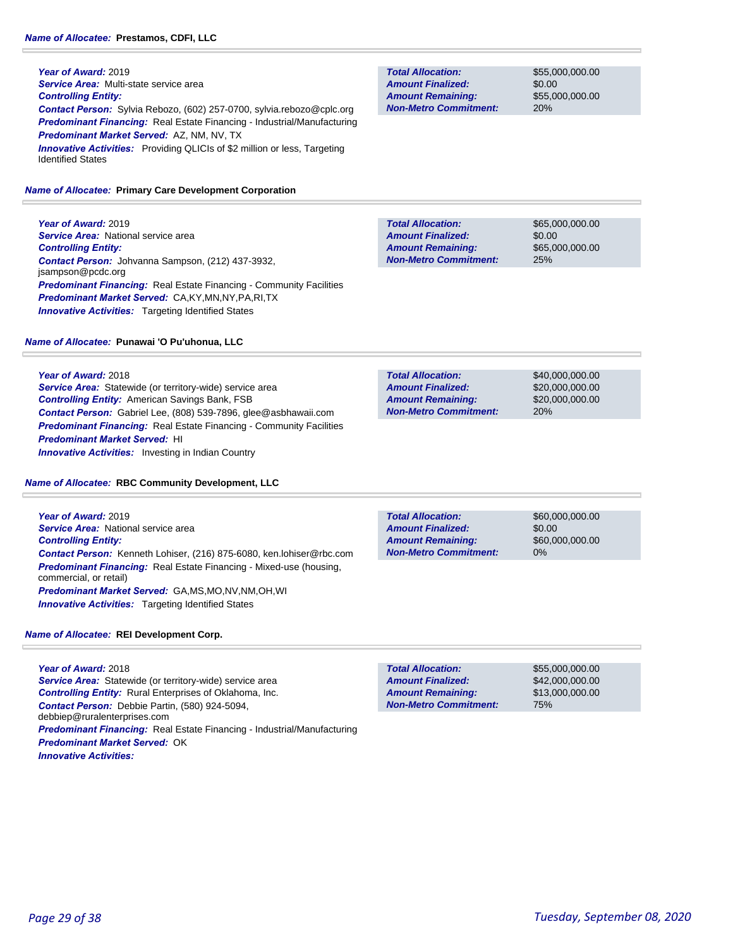**Year of Award:** 2019 *Service Area:* Multi-state service area *Controlling Entity: Contact Person:* Sylvia Rebozo, (602) 257-0700, sylvia.rebozo@cplc.org *Predominant Financing:* Real Estate Financing - Industrial/Manufacturing *Predominant Market Served:* AZ, NM, NV, TX **Innovative Activities:** Providing QLICIs of \$2 million or less, Targeting Identified States

#### *Name of Allocatee:* **Primary Care Development Corporation**

**Year of Award:** 2019 **Service Area:** National service area *Controlling Entity: Contact Person:* Johvanna Sampson, (212) 437-3932, jsampson@pcdc.org *Predominant Financing:* Real Estate Financing - Community Facilities *Predominant Market Served:* CA,KY,MN,NY,PA,RI,TX **Innovative Activities:** Targeting Identified States

#### *Name of Allocatee:* **Punawai 'O Pu'uhonua, LLC**

**Year of Award:** 2018

*Service Area:* Statewide (or territory-wide) service area *Controlling Entity:* American Savings Bank, FSB *Contact Person:* Gabriel Lee, (808) 539-7896, glee@asbhawaii.com **Predominant Financing:** Real Estate Financing - Community Facilities *Predominant Market Served:* HI *Innovative Activities:* Investing in Indian Country

*Name of Allocatee:* **RBC Community Development, LLC**

**Year of Award:** 2019 *Service Area:* National service area *Controlling Entity: Contact Person:* Kenneth Lohiser, (216) 875-6080, ken.lohiser@rbc.com *Predominant Financing:* Real Estate Financing - Mixed-use (housing, commercial, or retail) *Predominant Market Served:* GA,MS,MO,NV,NM,OH,WI *Innovative Activities:* Targeting Identified States

#### *Name of Allocatee:* **REI Development Corp.**

**Year of Award:** 2018 *Service Area:* Statewide (or territory-wide) service area *Controlling Entity:* Rural Enterprises of Oklahoma, Inc. *Contact Person:* Debbie Partin, (580) 924-5094, debbiep@ruralenterprises.com *Predominant Financing:* Real Estate Financing - Industrial/Manufacturing *Predominant Market Served:* OK *Innovative Activities:* 

**Total Allocation: Non-Metro Commitment: Amount Remaining: Amount Finalized:**

\$55,000,000.00 \$0.00 \$55,000,000.00 20%

\$65,000,000.00 \$0.00 \$65,000,000.00 25% **Total Allocation: Non-Metro Commitment: Amount Remaining: Amount Finalized:**

**Total Allocation: Non-Metro Commitment: Amount Remaining: Amount Finalized:**

\$40,000,000.00 \$20,000,000.00 \$20,000,000.00 20%

\$0.00 0% **Total Allocation: Non-Metro Commitment: Amount Remaining: Amount Finalized:**

\$60,000,000.00 \$60,000,000.00

\$55,000,000.00 \$42,000,000.00 \$13,000,000.00 75% **Total Allocation: Non-Metro Commitment: Amount Remaining: Amount Finalized:**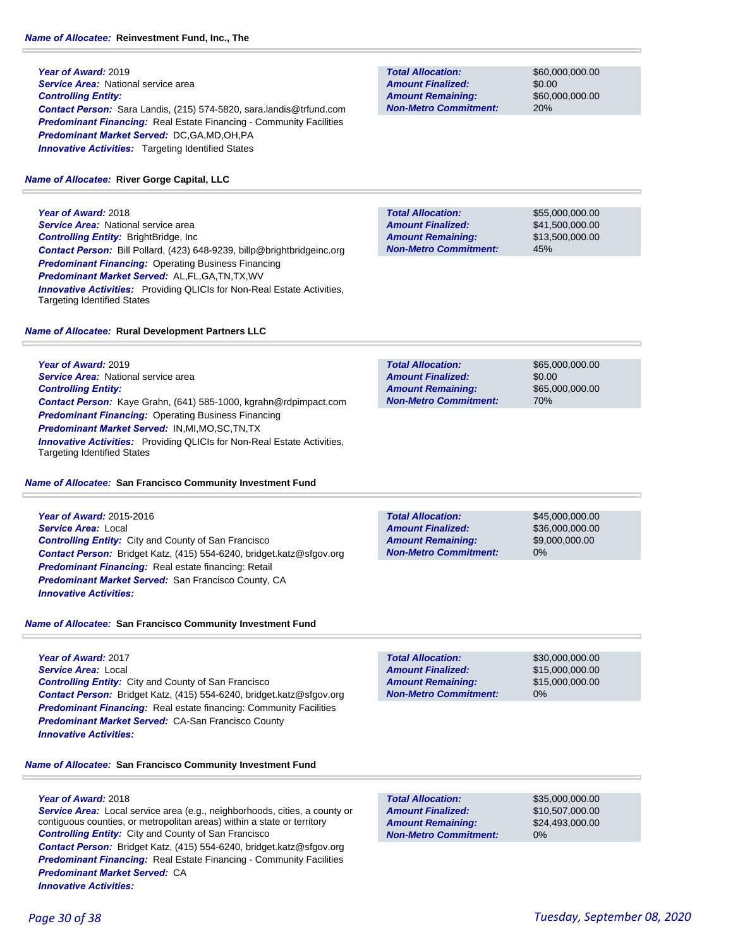**Year of Award:** 2019 **Service Area: National service area** *Controlling Entity: Contact Person:* Sara Landis, (215) 574-5820, sara.landis@trfund.com **Predominant Financing:** Real Estate Financing - Community Facilities *Predominant Market Served:* DC,GA,MD,OH,PA **Innovative Activities:** Targeting Identified States

#### *Name of Allocatee:* **River Gorge Capital, LLC**

**Year of Award:** 2018 **Service Area:** National service area *Controlling Entity:* BrightBridge, Inc *Contact Person:* Bill Pollard, (423) 648-9239, billp@brightbridgeinc.org *Predominant Financing:* Operating Business Financing *Predominant Market Served:* AL,FL,GA,TN,TX,WV *Innovative Activities:* Providing QLICIs for Non-Real Estate Activities, Targeting Identified States

#### *Name of Allocatee:* **Rural Development Partners LLC**

**Year of Award:** 2019 *Service Area:* National service area *Controlling Entity: Contact Person:* Kaye Grahn, (641) 585-1000, kgrahn@rdpimpact.com *Predominant Financing:* Operating Business Financing *Predominant Market Served:* IN,MI,MO,SC,TN,TX

*Innovative Activities:* Providing QLICIs for Non-Real Estate Activities, Targeting Identified States

#### *Name of Allocatee:* **San Francisco Community Investment Fund**

**Year of Award:** 2015-2016 *Service Area:* Local *Controlling Entity:* City and County of San Francisco *Contact Person:* Bridget Katz, (415) 554-6240, bridget.katz@sfgov.org *Predominant Financing:* Real estate financing: Retail *Predominant Market Served:* San Francisco County, CA *Innovative Activities:* 

#### *Name of Allocatee:* **San Francisco Community Investment Fund**

**Year of Award:** 2017 *Service Area:* Local *Controlling Entity:* City and County of San Francisco *Contact Person:* Bridget Katz, (415) 554-6240, bridget.katz@sfgov.org **Predominant Financing:** Real estate financing: Community Facilities *Predominant Market Served:* CA-San Francisco County *Innovative Activities:* 

### *Name of Allocatee:* **San Francisco Community Investment Fund**

### **Year of Award:** 2018

*Service Area:* Local service area (e.g., neighborhoods, cities, a county or contiguous counties, or metropolitan areas) within a state or territory *Controlling Entity:* City and County of San Francisco *Contact Person:* Bridget Katz, (415) 554-6240, bridget.katz@sfgov.org **Predominant Financing:** Real Estate Financing - Community Facilities *Predominant Market Served:* CA *Innovative Activities:* 

**Total Allocation: Non-Metro Commitment: Amount Remaining: Amount Finalized:**

\$60,000,000.00 \$0.00 \$60,000,000.00 20%

**Total Allocation: Non-Metro Commitment: Amount Remaining: Amount Finalized:**

\$55,000,000.00 \$41,500,000.00 \$13,500,000.00 45%

\$65,000,000.00 \$0.00 \$65,000,000.00 70% **Total Allocation: Non-Metro Commitment: Amount Remaining: Amount Finalized:**

0% **Total Allocation: Non-Metro Commitment: Amount Remaining: Amount Finalized:**

\$45,000,000.00 \$36,000,000.00 \$9,000,000.00

**Total Allocation: Non-Metro Commitment: Amount Remaining: Amount Finalized:**

\$30,000,000.00 \$15,000,000.00 \$15,000,000.00 0%

0% **Total Allocation: Non-Metro Commitment: Amount Remaining: Amount Finalized:**

\$35,000,000.00 \$10,507,000.00 \$24,493,000.00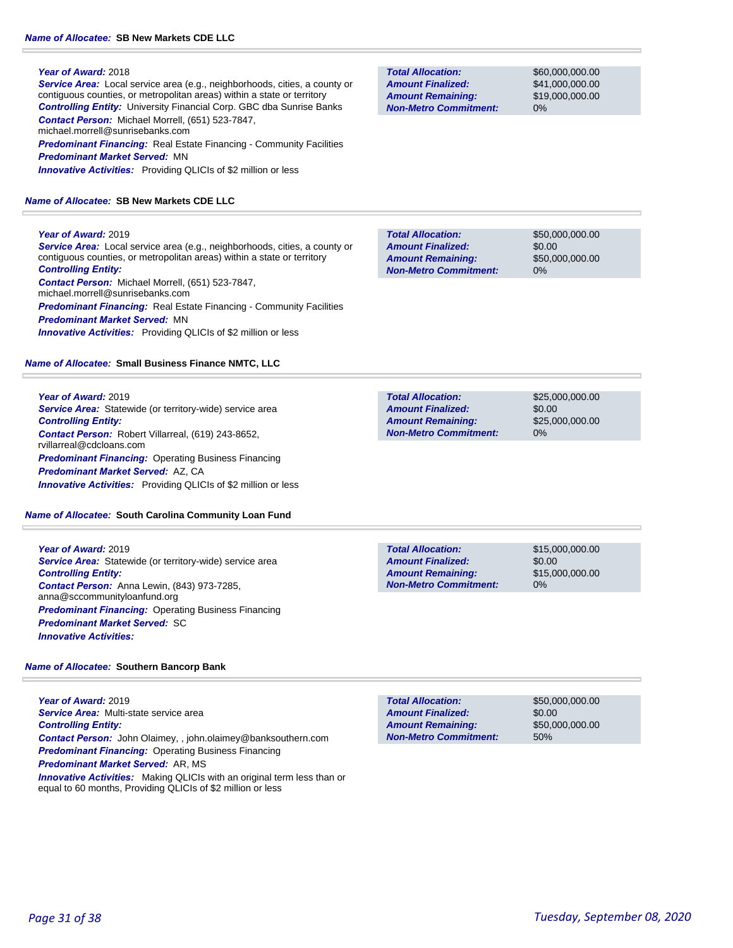*Service Area:* Local service area (e.g., neighborhoods, cities, a county or contiguous counties, or metropolitan areas) within a state or territory *Controlling Entity:* University Financial Corp. GBC dba Sunrise Banks *Contact Person:* Michael Morrell, (651) 523-7847, michael.morrell@sunrisebanks.com

**Predominant Financing:** Real Estate Financing - Community Facilities *Predominant Market Served:* MN *Innovative Activities:* Providing QLICIs of \$2 million or less

### *Name of Allocatee:* **SB New Markets CDE LLC**

### **Year of Award:** 2019

*Service Area:* Local service area (e.g., neighborhoods, cities, a county or contiguous counties, or metropolitan areas) within a state or territory *Controlling Entity: Contact Person:* Michael Morrell, (651) 523-7847,

michael.morrell@sunrisebanks.com **Predominant Financing:** Real Estate Financing - Community Facilities *Predominant Market Served:* MN *Innovative Activities:* Providing QLICIs of \$2 million or less

### *Name of Allocatee:* **Small Business Finance NMTC, LLC**

**Year of Award:** 2019 *Service Area:* Statewide (or territory-wide) service area *Controlling Entity: Contact Person:* Robert Villarreal, (619) 243-8652, rvillarreal@cdcloans.com *Predominant Financing: Operating Business Financing Predominant Market Served:* AZ, CA *Innovative Activities:* Providing QLICIs of \$2 million or less

*Name of Allocatee:* **South Carolina Community Loan Fund**

**Year of Award:** 2019 *Service Area:* Statewide (or territory-wide) service area *Controlling Entity: Contact Person:* Anna Lewin, (843) 973-7285, anna@sccommunityloanfund.org *Predominant Financing: Operating Business Financing Predominant Market Served:* SC *Innovative Activities:* 

### *Name of Allocatee:* **Southern Bancorp Bank**

**Year of Award:** 2019 *Service Area:* Multi-state service area *Controlling Entity: Contact Person:* John Olaimey, , john.olaimey@banksouthern.com *Predominant Financing:* Operating Business Financing *Predominant Market Served:* AR, MS *Innovative Activities:* Making QLICIs with an original term less than or equal to 60 months, Providing QLICIs of \$2 million or less

**Total Allocation: Non-Metro Commitment: Amount Remaining: Amount Finalized:**

\$60,000,000.00 \$41,000,000.00 \$19,000,000.00 0%

\$0.00 0% **Total Allocation: Non-Metro Commitment: Amount Remaining: Amount Finalized:**

\$50,000,000.00 \$50,000,000.00

\$25,000,000.00 \$0.00 \$25,000,000.00 0% **Total Allocation: Non-Metro Commitment: Amount Remaining: Amount Finalized:**

**Total Allocation: Non-Metro Commitment: Amount Remaining: Amount Finalized:**

\$15,000,000.00 \$0.00 \$15,000,000.00 0%

\$50,000,000.00 \$0.00 \$50,000,000.00 50% **Total Allocation: Non-Metro Commitment: Amount Remaining: Amount Finalized:**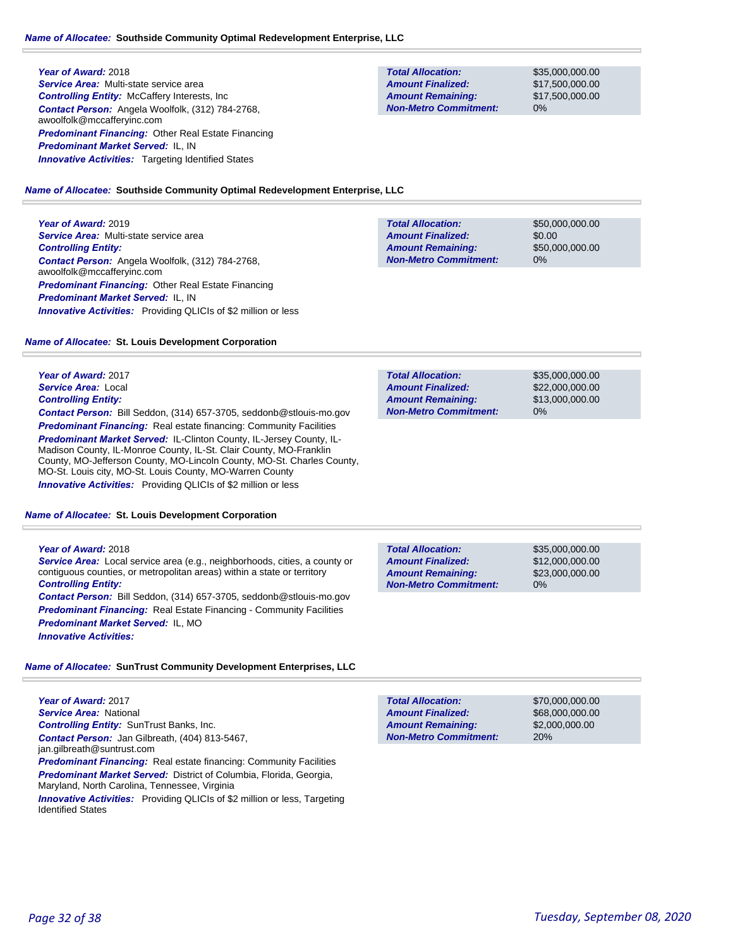*Service Area:* Multi-state service area *Controlling Entity:* McCaffery Interests, Inc *Contact Person:* Angela Woolfolk, (312) 784-2768, awoolfolk@mccafferyinc.com *Predominant Financing:* Other Real Estate Financing *Predominant Market Served:* IL, IN **Innovative Activities:** Targeting Identified States

#### **Total Allocation: Non-Metro Commitment: Amount Remaining: Amount Finalized:**

\$35,000,000.00 \$17,500,000.00 \$17,500,000.00 0%

#### *Name of Allocatee:* **Southside Community Optimal Redevelopment Enterprise, LLC**

### **Year of Award:** 2019 *Service Area:* Multi-state service area *Controlling Entity: Contact Person:* Angela Woolfolk, (312) 784-2768, awoolfolk@mccafferyinc.com *Predominant Financing:* Other Real Estate Financing

*Predominant Market Served:* IL, IN

| <b>Total Allocation:</b>     | \$50,000,000,00 |
|------------------------------|-----------------|
| <b>Amount Finalized:</b>     | \$0.00          |
| <b>Amount Remaining:</b>     | \$50,000,000,00 |
| <b>Non-Metro Commitment:</b> | $0\%$           |
|                              |                 |

#### *Name of Allocatee:* **St. Louis Development Corporation**

*Innovative Activities:* Providing QLICIs of \$2 million or less

**Year of Award:** 2017 *Service Area:* Local *Controlling Entity: Contact Person:* Bill Seddon, (314) 657-3705, seddonb@stlouis-mo.gov **Predominant Financing:** Real estate financing: Community Facilities *Predominant Market Served:* IL-Clinton County, IL-Jersey County, IL-Madison County, IL-Monroe County, IL-St. Clair County, MO-Franklin County, MO-Jefferson County, MO-Lincoln County, MO-St. Charles County, MO-St. Louis city, MO-St. Louis County, MO-Warren County

*Name of Allocatee:* **St. Louis Development Corporation**

*Innovative Activities:* Providing QLICIs of \$2 million or less

#### **Year of Award:** 2018

*Service Area:* Local service area (e.g., neighborhoods, cities, a county or contiguous counties, or metropolitan areas) within a state or territory *Controlling Entity:* 

*Contact Person:* Bill Seddon, (314) 657-3705, seddonb@stlouis-mo.gov **Predominant Financing:** Real Estate Financing - Community Facilities *Predominant Market Served:* IL, MO *Innovative Activities:* 

### **Total Allocation: Non-Metro Commitment: Amount Remaining: Amount Finalized:**

**Total Allocation:**

**Non-Metro Commitment: Amount Remaining: Amount Finalized:**

> \$35,000,000.00 \$12,000,000.00 \$23,000,000.00 0%

\$35,000,000.00 \$22,000,000.00 \$13,000,000.00

0%

*Name of Allocatee:* **SunTrust Community Development Enterprises, LLC**

**Year of Award:** 2017 *Service Area:* National *Controlling Entity:* SunTrust Banks, Inc. *Contact Person:* Jan Gilbreath, (404) 813-5467, jan.gilbreath@suntrust.com **Predominant Financing:** Real estate financing: Community Facilities **Predominant Market Served:** District of Columbia, Florida, Georgia, Maryland, North Carolina, Tennessee, Virginia **Innovative Activities:** Providing QLICIs of \$2 million or less, Targeting Identified States

| <b>Total Allocation:</b>     | \$70,000,000,00 |
|------------------------------|-----------------|
| <b>Amount Finalized:</b>     | \$68,000,000,00 |
| <b>Amount Remaining:</b>     | \$2,000,000,00  |
| <b>Non-Metro Commitment:</b> | 20%             |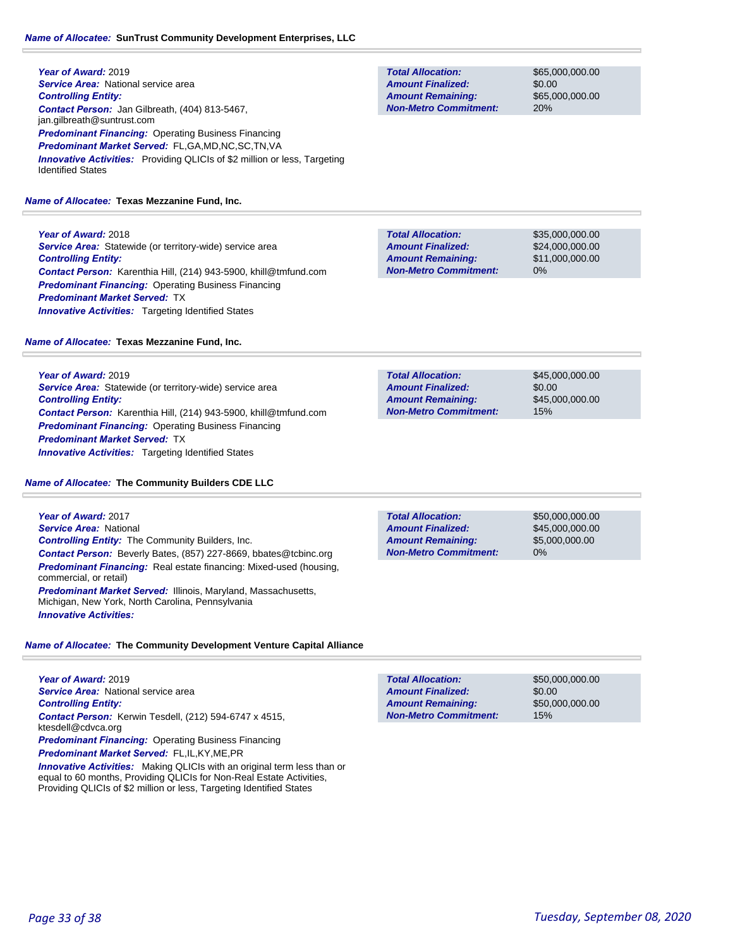#### *Name of Allocatee:* **SunTrust Community Development Enterprises, LLC**

| Year of Award: 2019                                                                                          |  |  |
|--------------------------------------------------------------------------------------------------------------|--|--|
| <b>Service Area:</b> National service area                                                                   |  |  |
| <b>Controlling Entity:</b>                                                                                   |  |  |
| <b>Contact Person:</b> Jan Gilbreath, (404) 813-5467,<br>jan.gilbreath@suntrust.com                          |  |  |
| <b>Predominant Financing: Operating Business Financing</b>                                                   |  |  |
| <b>Predominant Market Served: FL,GA,MD,NC,SC,TN,VA</b>                                                       |  |  |
| <b>Innovative Activities:</b> Providing QLICIs of \$2 million or less, Targeting<br><b>Identified States</b> |  |  |

*Name of Allocatee:* **Texas Mezzanine Fund, Inc.**

**Year of Award:** 2018 *Service Area:* Statewide (or territory-wide) service area *Controlling Entity: Contact Person:* Karenthia Hill, (214) 943-5900, khill@tmfund.com **Predominant Financing: Operating Business Financing** *Predominant Market Served:* TX **Innovative Activities:** Targeting Identified States

*Name of Allocatee:* **Texas Mezzanine Fund, Inc.**

**Year of Award:** 2019 *Service Area:* Statewide (or territory-wide) service area

*Controlling Entity: Contact Person:* Karenthia Hill, (214) 943-5900, khill@tmfund.com *Predominant Financing:* Operating Business Financing *Predominant Market Served:* TX *Innovative Activities:* Targeting Identified States

*Name of Allocatee:* **The Community Builders CDE LLC**

**Year of Award:** 2017 *Service Area:* National *Controlling Entity:* The Community Builders, Inc. *Contact Person:* Beverly Bates, (857) 227-8669, bbates@tcbinc.org *Predominant Financing:* Real estate financing: Mixed-used (housing, commercial, or retail) *Predominant Market Served:* Illinois, Maryland, Massachusetts, Michigan, New York, North Carolina, Pennsylvania *Innovative Activities:* 

*Name of Allocatee:* **The Community Development Venture Capital Alliance**

**Year of Award:** 2019 *Service Area:* National service area *Controlling Entity: Contact Person:* Kerwin Tesdell, (212) 594-6747 x 4515, ktesdell@cdvca.org *Predominant Financing:* Operating Business Financing

*Predominant Market Served:* FL,IL,KY,ME,PR

**Innovative Activities:** Making QLICIs with an original term less than or equal to 60 months, Providing QLICIs for Non-Real Estate Activities, Providing QLICIs of \$2 million or less, Targeting Identified States

| <b>Total Allocation:</b>     | \$50,000,000,00 |
|------------------------------|-----------------|
| <b>Amount Finalized:</b>     | \$0.00          |
| <b>Amount Remaining:</b>     | \$50,000,000,00 |
| <b>Non-Metro Commitment:</b> | 15%             |

**Total Allocation: Non-Metro Commitment: Amount Remaining: Amount Finalized:**

\$45,000,000.00 \$0.00 \$45,000,000.00 15%

\$50,000,000.00 \$45,000,000.00 \$5,000,000.00 0% **Total Allocation: Non-Metro Commitment: Amount Remaining: Amount Finalized:**

*Page 33 of 38 Tuesday, September 08, 2020*

**Total Allocation: Non-Metro Commitment: Amount Remaining: Amount Finalized:**

\$65,000,000.00 \$0.00 \$65,000,000.00 20%

\$35,000,000.00 \$24,000,000.00 \$11,000,000.00 0% **Total Allocation: Non-Metro Commitment: Amount Remaining: Amount Finalized:**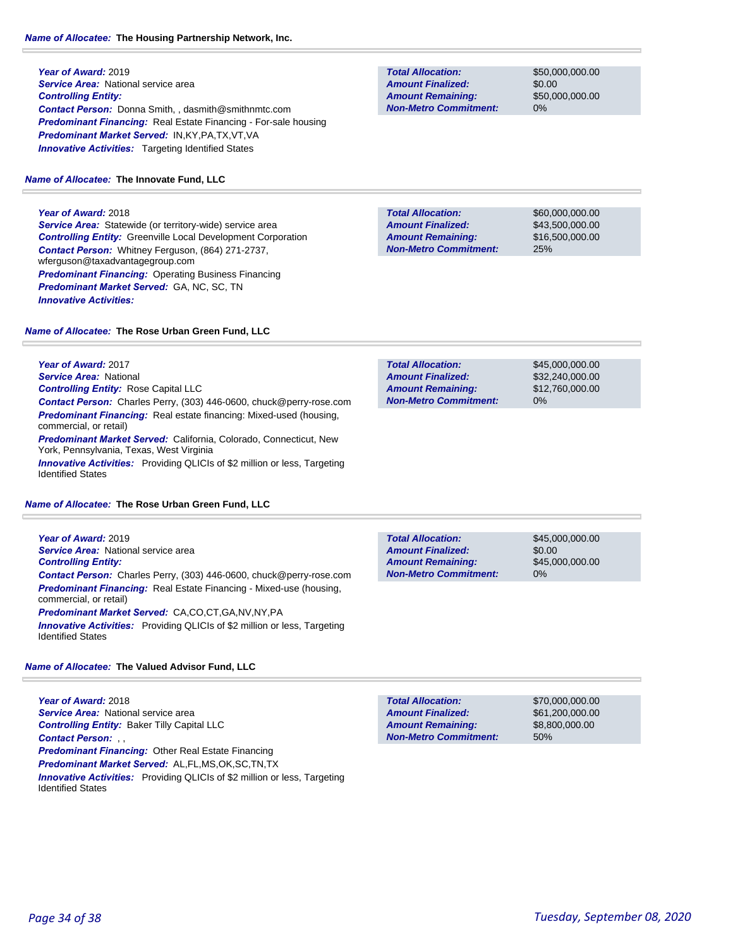### *Name of Allocatee:* **The Housing Partnership Network, Inc.**

**Year of Award:** 2019 **Service Area:** National service area *Controlling Entity: Contact Person:* Donna Smith, , dasmith@smithnmtc.com *Predominant Financing:* Real Estate Financing - For-sale housing *Predominant Market Served:* IN,KY,PA,TX,VT,VA **Innovative Activities:** Targeting Identified States

### *Name of Allocatee:* **The Innovate Fund, LLC**

### **Year of Award:** 2018

**Service Area:** Statewide (or territory-wide) service area *Controlling Entity:* Greenville Local Development Corporation *Contact Person:* Whitney Ferguson, (864) 271-2737, wferguson@taxadvantagegroup.com *Predominant Financing:* Operating Business Financing *Predominant Market Served:* GA, NC, SC, TN *Innovative Activities:* 

**Non-Metro Commitment: Amount Remaining:**

**Total Allocation:**

**Amount Finalized:**

\$50,000,000.00 \$0.00 \$50,000,000.00 0%

**Total Allocation: Non-Metro Commitment: Amount Remaining: Amount Finalized:**

\$60,000,000.00 \$43,500,000.00 \$16,500,000.00 25%

#### *Name of Allocatee:* **The Rose Urban Green Fund, LLC**

**Year of Award:** 2017 *Service Area:* National *Controlling Entity:* Rose Capital LLC *Contact Person:* Charles Perry, (303) 446-0600, chuck@perry-rose.com *Predominant Financing:* Real estate financing: Mixed-used (housing, commercial, or retail) *Predominant Market Served:* California, Colorado, Connecticut, New York, Pennsylvania, Texas, West Virginia **Innovative Activities:** Providing QLICIs of \$2 million or less, Targeting Identified States

#### *Name of Allocatee:* **The Rose Urban Green Fund, LLC**

**Year of Award:** 2019 *Service Area:* National service area *Controlling Entity: Contact Person:* Charles Perry, (303) 446-0600, chuck@perry-rose.com *Predominant Financing:* Real Estate Financing - Mixed-use (housing, commercial, or retail) *Predominant Market Served:* CA,CO,CT,GA,NV,NY,PA *Innovative Activities:* Providing QLICIs of \$2 million or less, Targeting

### *Name of Allocatee:* **The Valued Advisor Fund, LLC**

**Year of Award:** 2018 *Service Area:* National service area *Controlling Entity:* Baker Tilly Capital LLC *Contact Person:* , , *Predominant Financing:* Other Real Estate Financing *Predominant Market Served:* AL,FL,MS,OK,SC,TN,TX *Innovative Activities:* Providing QLICIs of \$2 million or less, Targeting Identified States

| <b>Total Allocation:</b>     | \$45,000,000,00 |
|------------------------------|-----------------|
| <b>Amount Finalized:</b>     | \$32,240,000.00 |
| <b>Amount Remaining:</b>     | \$12,760,000.00 |
| <b>Non-Metro Commitment:</b> | $0\%$           |
|                              |                 |

| <b>Total Allocation:</b>     | \$45,000,000,00 |
|------------------------------|-----------------|
| <b>Amount Finalized:</b>     | \$0.00          |
| <b>Amount Remaining:</b>     | \$45,000,000,00 |
| <b>Non-Metro Commitment:</b> | 0%              |

| <b>Total Allocation:</b>     | \$70,000,000,00 |
|------------------------------|-----------------|
| <b>Amount Finalized:</b>     | \$61,200,000,00 |
| <b>Amount Remaining:</b>     | \$8,800,000,00  |
| <b>Non-Metro Commitment:</b> | 50%             |

Identified States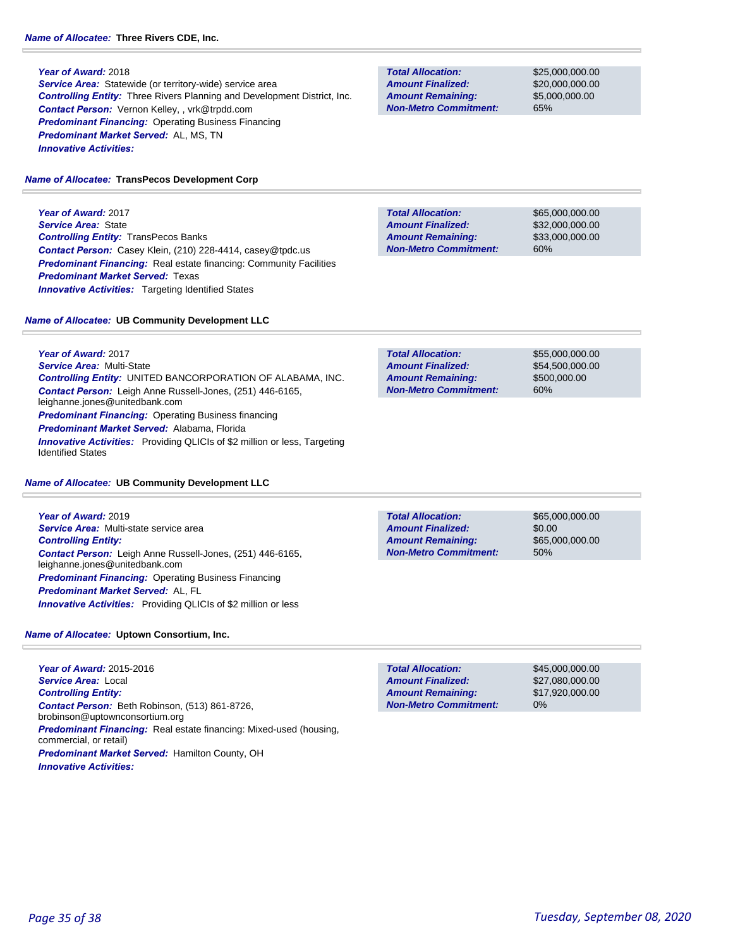**Service Area:** Statewide (or territory-wide) service area *Controlling Entity:* Three Rivers Planning and Development District, Inc. *Contact Person:* Vernon Kelley, , vrk@trpdd.com *Predominant Financing:* Operating Business Financing *Predominant Market Served:* AL, MS, TN *Innovative Activities:* 

#### *Name of Allocatee:* **TransPecos Development Corp**

**Year of Award:** 2017 *Service Area:* State *Controlling Entity:* TransPecos Banks *Contact Person:* Casey Klein, (210) 228-4414, casey@tpdc.us **Predominant Financing:** Real estate financing: Community Facilities *Predominant Market Served:* Texas **Innovative Activities:** Targeting Identified States

#### *Name of Allocatee:* **UB Community Development LLC**

**Year of Award:** 2017 *Service Area:* Multi-State *Controlling Entity:* UNITED BANCORPORATION OF ALABAMA, INC. *Contact Person:* Leigh Anne Russell-Jones, (251) 446-6165, leighanne.jones@unitedbank.com *Predominant Financing:* Operating Business financing *Predominant Market Served:* Alabama, Florida *Innovative Activities:* Providing QLICIs of \$2 million or less, Targeting Identified States

#### *Name of Allocatee:* **UB Community Development LLC**

**Year of Award:** 2019 *Service Area:* Multi-state service area *Controlling Entity: Contact Person:* Leigh Anne Russell-Jones, (251) 446-6165, leighanne.jones@unitedbank.com **Predominant Financing: Operating Business Financing** *Predominant Market Served:* AL, FL *Innovative Activities:* Providing QLICIs of \$2 million or less

### *Name of Allocatee:* **Uptown Consortium, Inc.**

**Year of Award:** 2015-2016 *Service Area:* Local *Controlling Entity: Contact Person:* Beth Robinson, (513) 861-8726, brobinson@uptownconsortium.org *Predominant Financing:* Real estate financing: Mixed-used (housing, commercial, or retail) *Predominant Market Served:* Hamilton County, OH *Innovative Activities:* 

**Total Allocation: Non-Metro Commitment: Amount Remaining: Amount Finalized:**

\$25,000,000.00 \$20,000,000.00 \$5,000,000.00 65%

**Total Allocation: Non-Metro Commitment: Amount Remaining: Amount Finalized:**

\$65,000,000.00 \$32,000,000.00 \$33,000,000.00 60%

\$55,000,000.00 \$54,500,000.00 \$500,000.00 60% **Total Allocation: Non-Metro Commitment: Amount Remaining: Amount Finalized:**

**Total Allocation: Non-Metro Commitment: Amount Remaining: Amount Finalized:**

\$65,000,000.00 \$0.00 \$65,000,000.00 50%

\$45,000,000.00 \$27,080,000.00 \$17,920,000.00 0% **Total Allocation: Non-Metro Commitment: Amount Remaining: Amount Finalized:**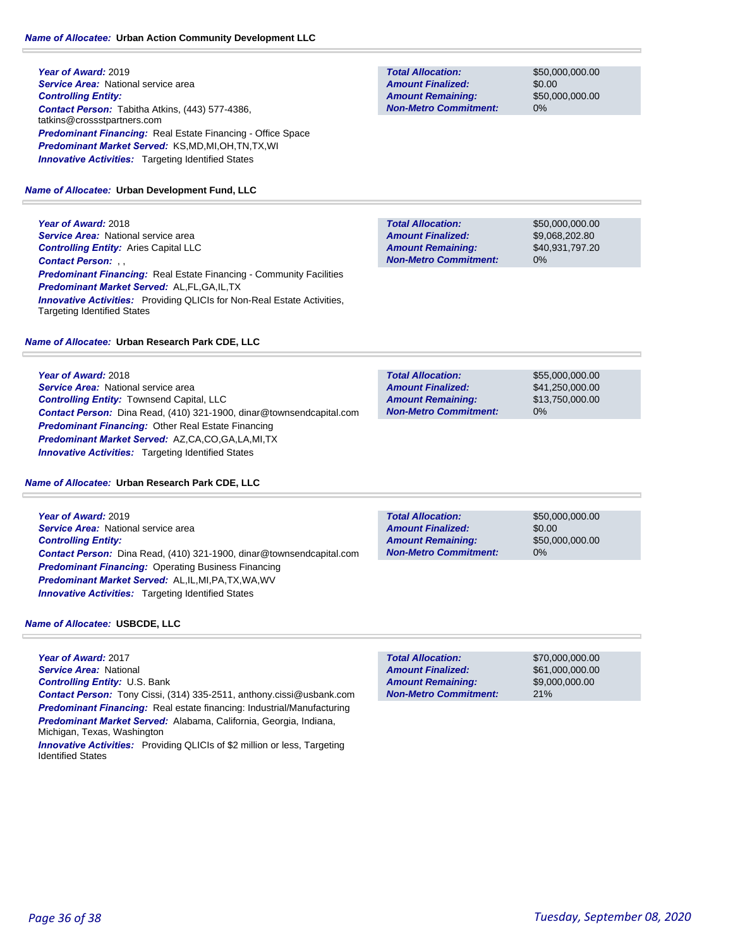### **Year of Award:** 2019 **Service Area: National service area** *Controlling Entity: Contact Person:* Tabitha Atkins, (443) 577-4386, tatkins@crossstpartners.com *Predominant Financing:* Real Estate Financing - Office Space *Predominant Market Served:* KS,MD,MI,OH,TN,TX,WI **Innovative Activities:** Targeting Identified States

#### *Name of Allocatee:* **Urban Development Fund, LLC**

**Year of Award:** 2018 *Service Area:* National service area *Controlling Entity:* Aries Capital LLC *Contact Person:* , , *Predominant Financing:* Real Estate Financing - Community Facilities *Predominant Market Served:* AL,FL,GA,IL,TX **Innovative Activities:** Providing QLICIs for Non-Real Estate Activities, Targeting Identified States

#### *Name of Allocatee:* **Urban Research Park CDE, LLC**

**Year of Award:** 2018 **Service Area:** National service area *Controlling Entity:* Townsend Capital, LLC *Contact Person:* Dina Read, (410) 321-1900, dinar@townsendcapital.com *Predominant Financing:* Other Real Estate Financing *Predominant Market Served:* AZ,CA,CO,GA,LA,MI,TX *Innovative Activities:* Targeting Identified States

#### *Name of Allocatee:* **Urban Research Park CDE, LLC**

**Year of Award:** 2019 *Service Area:* National service area *Controlling Entity: Contact Person:* Dina Read, (410) 321-1900, dinar@townsendcapital.com *Predominant Financing:* Operating Business Financing *Predominant Market Served:* AL,IL,MI,PA,TX,WA,WV *Innovative Activities:* Targeting Identified States

*Name of Allocatee:* **USBCDE, LLC**

**Year of Award:** 2017 *Service Area:* National *Controlling Entity:* U.S. Bank *Contact Person:* Tony Cissi, (314) 335-2511, anthony.cissi@usbank.com *Predominant Financing:* Real estate financing: Industrial/Manufacturing *Predominant Market Served:* Alabama, California, Georgia, Indiana, Michigan, Texas, Washington *Innovative Activities:* Providing QLICIs of \$2 million or less, Targeting Identified States

**Total Allocation: Non-Metro Commitment: Amount Remaining: Amount Finalized:**

\$50,000,000.00 \$0.00 \$50,000,000.00 0%

\$50,000,000.00 \$9,068,202.80 \$40,931,797.20 0% **Total Allocation: Non-Metro Commitment: Amount Remaining: Amount Finalized:**

0% **Total Allocation: Non-Metro Commitment: Amount Remaining: Amount Finalized:**

\$55,000,000.00 \$41,250,000.00 \$13,750,000.00

**Total Allocation: Non-Metro Commitment: Amount Remaining: Amount Finalized:**

\$50,000,000.00 \$0.00 \$50,000,000.00 0%

**Total Allocation: Non-Metro Commitment: Amount Remaining: Amount Finalized:**

\$70,000,000.00 \$61,000,000.00 \$9,000,000.00 21%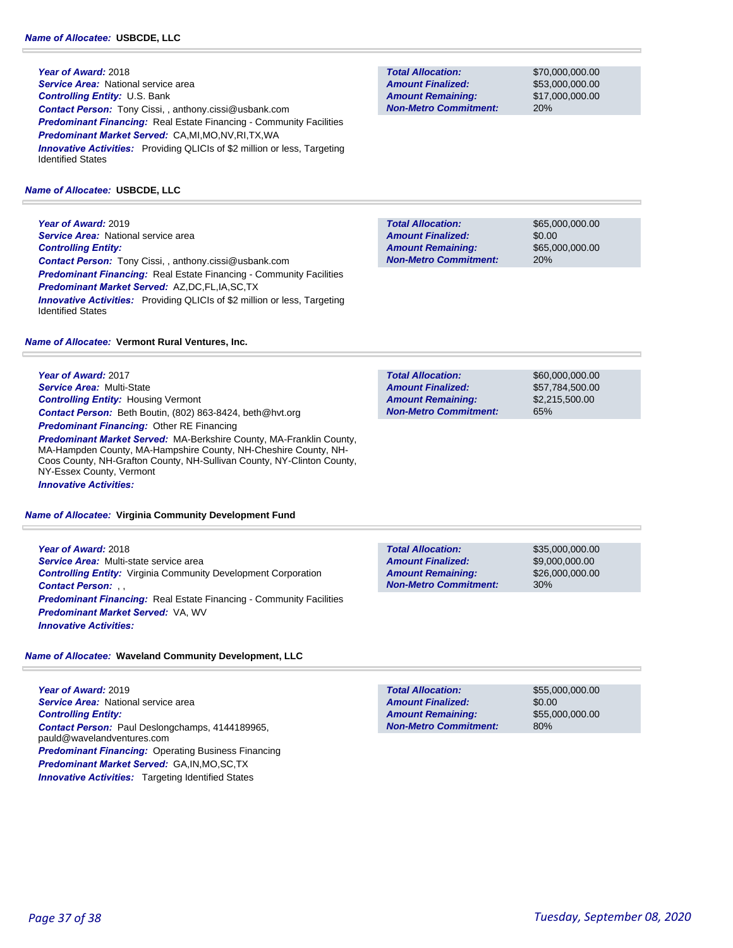**Year of Award:** 2018 *Service Area:* National service area *Controlling Entity:* U.S. Bank *Contact Person:* Tony Cissi, , anthony.cissi@usbank.com *Predominant Financing:* Real Estate Financing - Community Facilities *Predominant Market Served:* CA,MI,MO,NV,RI,TX,WA **Innovative Activities:** Providing QLICIs of \$2 million or less, Targeting Identified States

#### *Name of Allocatee:* **USBCDE, LLC**

**Year of Award:** 2019 **Service Area: National service area** *Controlling Entity: Contact Person:* Tony Cissi, , anthony.cissi@usbank.com *Predominant Financing:* Real Estate Financing - Community Facilities *Predominant Market Served:* AZ,DC,FL,IA,SC,TX **Innovative Activities:** Providing QLICIs of \$2 million or less, Targeting Identified States

*Name of Allocatee:* **Vermont Rural Ventures, Inc.**

**Year of Award:** 2017 *Service Area:* Multi-State *Controlling Entity:* Housing Vermont *Contact Person:* Beth Boutin, (802) 863-8424, beth@hvt.org *Predominant Financing:* Other RE Financing

*Predominant Market Served:* MA-Berkshire County, MA-Franklin County, MA-Hampden County, MA-Hampshire County, NH-Cheshire County, NH-Coos County, NH-Grafton County, NH-Sullivan County, NY-Clinton County, NY-Essex County, Vermont *Innovative Activities:* 

*Name of Allocatee:* **Virginia Community Development Fund**

**Year of Award:** 2018 *Service Area:* Multi-state service area *Controlling Entity:* Virginia Community Development Corporation *Contact Person:* , , **Predominant Financing:** Real Estate Financing - Community Facilities *Predominant Market Served:* VA, WV *Innovative Activities:* 

### *Name of Allocatee:* **Waveland Community Development, LLC**

**Year of Award:** 2019 *Service Area:* National service area *Controlling Entity: Contact Person:* Paul Deslongchamps, 4144189965, pauld@wavelandventures.com *Predominant Financing:* Operating Business Financing *Predominant Market Served:* GA,IN,MO,SC,TX **Innovative Activities:** Targeting Identified States

**Total Allocation: Non-Metro Commitment: Amount Remaining: Amount Finalized:**

\$70,000,000.00 \$53,000,000.00 \$17,000,000.00 20%

\$65,000,000.00 \$0.00 \$65,000,000.00 20% **Total Allocation: Non-Metro Commitment: Amount Remaining: Amount Finalized:**

**Total Allocation: Non-Metro Commitment: Amount Remaining: Amount Finalized:**

\$60,000,000.00 \$57,784,500.00 \$2,215,500.00 65%

**Total Allocation: Non-Metro Commitment: Amount Remaining: Amount Finalized:**

\$35,000,000.00 \$9,000,000.00 \$26,000,000.00 30%

**Total Allocation: Non-Metro Commitment: Amount Remaining: Amount Finalized:**

\$55,000,000.00 \$0.00 \$55,000,000.00 80%